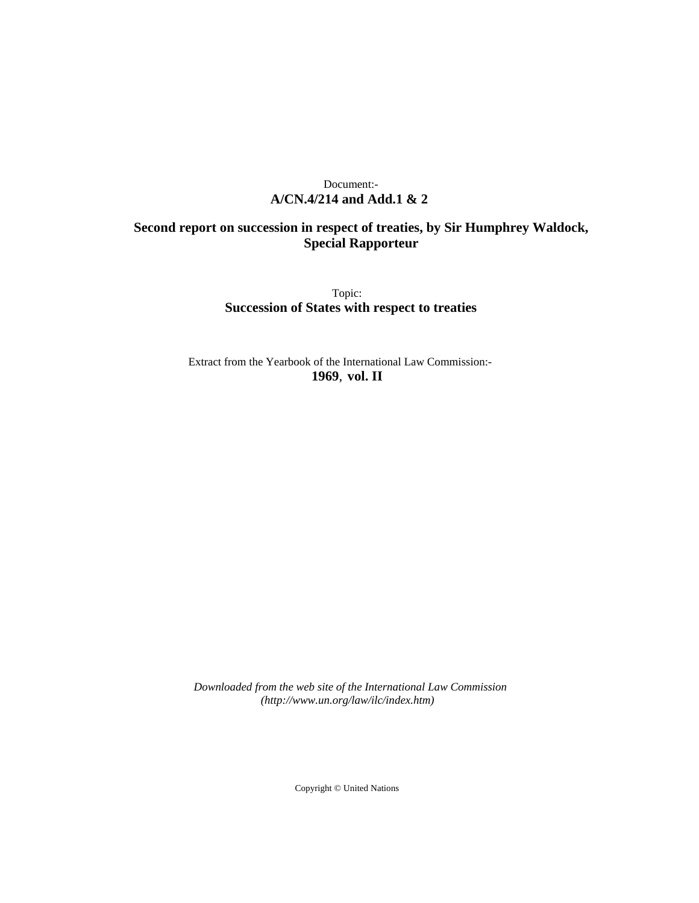# Document:- **A/CN.4/214 and Add.1 & 2**

# **Second report on succession in respect of treaties, by Sir Humphrey Waldock, Special Rapporteur**

Topic: **Succession of States with respect to treaties**

Extract from the Yearbook of the International Law Commission:- **1969**, **vol. II**

*Downloaded from the web site of the International Law Commission (http://www.un.org/law/ilc/index.htm)*

Copyright © United Nations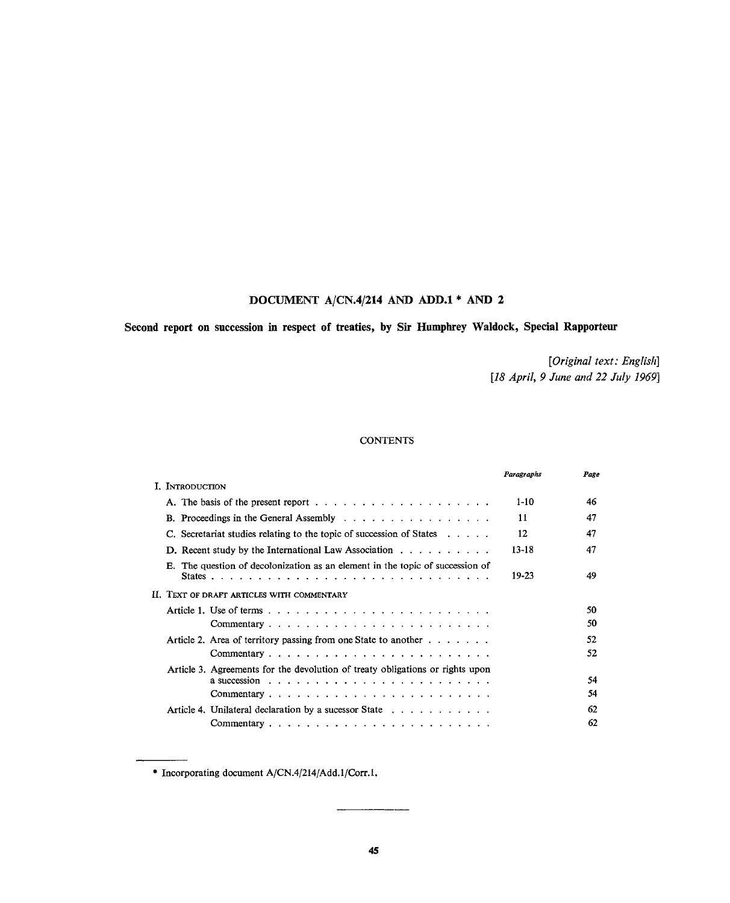# **DOCUMENT A/CN.4/214 AND ADD.l \* AND 2**

**Second report on succession in respect of treaties, by Sir Humphrey Waldock, Special Rapporteur**

*[Original text: English] [18 April, 9 June and 22 July 1969]*

# **CONTENTS**

|  |                                                                                                          | Paragraphs | Page |
|--|----------------------------------------------------------------------------------------------------------|------------|------|
|  | I. INTRODUCTION                                                                                          |            |      |
|  | A. The basis of the present report $\ldots$ $\ldots$ $\ldots$ $\ldots$ $\ldots$ $\ldots$ $\ldots$        | $1-10$     | 46   |
|  | B. Proceedings in the General Assembly                                                                   | 11         | 47   |
|  | C. Secretariat studies relating to the topic of succession of States $\dots$ .                           | 12         | 47   |
|  | <b>D.</b> Recent study by the International Law Association $\ldots$ ,                                   | $13 - 18$  | 47   |
|  | E. The question of decolonization as an element in the topic of succession of                            | 19-23      | 49   |
|  | II. Text of draft articles with commentary                                                               |            |      |
|  | Article 1. Use of terms $\ldots$ $\ldots$ $\ldots$ $\ldots$ $\ldots$ $\ldots$ $\ldots$ $\ldots$ $\ldots$ |            | 50   |
|  |                                                                                                          |            | 50   |
|  | Article 2. Area of territory passing from one State to another $\dots$                                   |            | 52   |
|  |                                                                                                          |            | 52   |
|  | Article 3. Agreements for the devolution of treaty obligations or rights upon                            |            |      |
|  |                                                                                                          |            | 54   |
|  |                                                                                                          |            | 54   |
|  | Article 4. Unilateral declaration by a sucessor State $\ldots$ ,                                         |            | 62   |
|  |                                                                                                          |            | 62   |

Incorporating document A/CN.4/214/Add.l/Corr.l.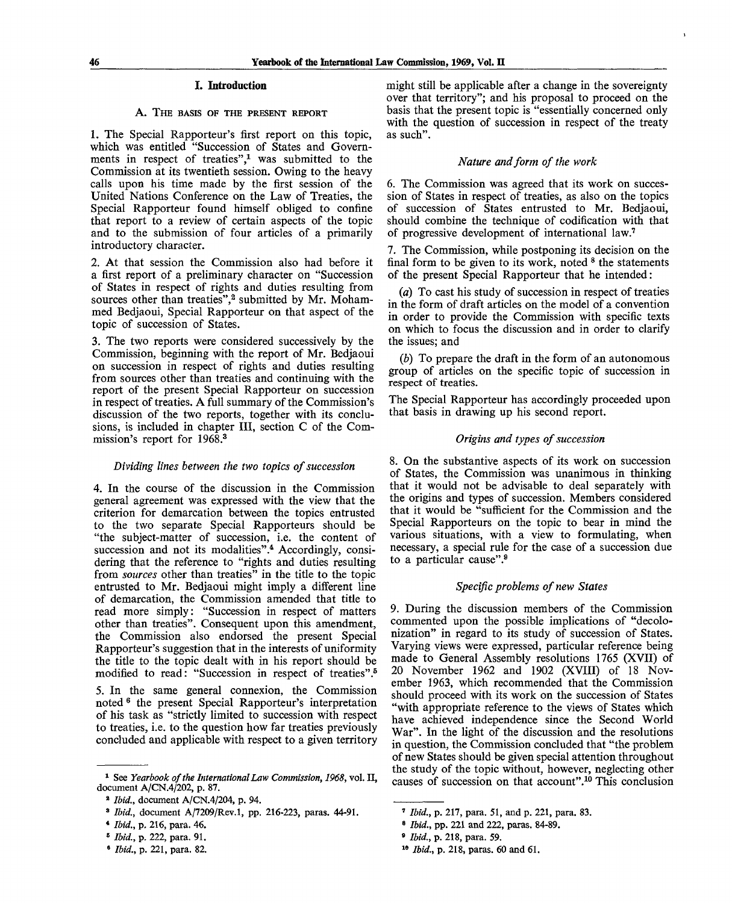## I. Introduction

## A. THE BASIS OF THE PRESENT REPORT

1. The Special Rapporteur's first report on this topic, which was entitled "Succession of States and Governments in respect of treaties",<sup>1</sup> was submitted to the Commission at its twentieth session. Owing to the heavy calls upon his time made by the first session of the United Nations Conference on the Law of Treaties, the Special Rapporteur found himself obliged to confine that report to a review of certain aspects of the topic and to the submission of four articles of a primarily introductory character.

2. At that session the Commission also had before it a first report of a preliminary character on "Succession of States in respect of rights and duties resulting from sources other than treaties",<sup>2</sup> submitted by Mr. Mohammed Bedjaoui, Special Rapporteur on that aspect of the topic of succession of States.

3. The two reports were considered successively by the Commission, beginning with the report of Mr. Bedjaoui on succession in respect of rights and duties resulting from sources other than treaties and continuing with the report of the present Special Rapporteur on succession in respect of treaties. A full summary of the Commission's discussion of the two reports, together with its conclusions, is included in chapter III, section C of the Commission's report for 1968.<sup>3</sup>

## *Dividing lines between the two topics of succession*

4. In the course of the discussion in the Commission general agreement was expressed with the view that the criterion for demarcation between the topics entrusted to the two separate Special Rapporteurs should be "the subject-matter of succession, i.e. the content of succession and not its modalities".<sup>4</sup> Accordingly, considering that the reference to "rights and duties resulting from *sources* other than treaties" in the title to the topic entrusted to Mr. Bedjaoui might imply a different line of demarcation, the Commission amended that title to read more simply: "Succession in respect of matters other than treaties". Consequent upon this amendment, the Commission also endorsed the present Special Rapporteur's suggestion that in the interests of uniformity the title to the topic dealt with in his report should be modified to read: "Succession in respect of treaties".<sup>6</sup>

5. In the same general connexion, the Commission noted<sup>6</sup> the present Special Rapporteur's interpretation of his task as "strictly limited to succession with respect to treaties, i.e. to the question how far treaties previously concluded and applicable with respect to a given territory might still be applicable after a change in the sovereignty over that territory"; and his proposal to proceed on the basis that the present topic is "essentially concerned only with the question of succession in respect of the treaty as such".

 $\mathbf{r}$ 

## *Nature and form of the work*

6. The Commission was agreed that its work on succession of States in respect of treaties, as also on the topics of succession of States entrusted to Mr. Bedjaoui, should combine the technique of codification with that of progressive development of international law.<sup>7</sup>

7. The Commission, while postponing its decision on the final form to be given to its work, noted <sup>8</sup> the statements of the present Special Rapporteur that he intended:

*(a)* To cast his study of succession in respect of treaties in the form of draft articles on the model of a convention in order to provide the Commission with specific texts on which to focus the discussion and in order to clarify the issues; and

*(b)* To prepare the draft in the form of an autonomous group of articles on the specific topic of succession in respect of treaties.

The Special Rapporteur has accordingly proceeded upon that basis in drawing up his second report.

## *Origins and types of succession*

8. On the substantive aspects of its work on succession of States, the Commission was unanimous in thinking that it would not be advisable to deal separately with the origins and types of succession. Members considered that it would be "sufficient for the Commission and the Special Rapporteurs on the topic to bear in mind the various situations, with a view to formulating, when necessary, a special rule for the case of a succession due to a particular cause".<sup>9</sup>

## *Specific problems of new States*

9. During the discussion members of the Commission commented upon the possible implications of "decolonization" in regard to its study of succession of States. Varying views were expressed, particular reference being made to General Assembly resolutions 1765 (XVII) of 20 November 1962 and 1902 (XVIII) of 18 November 1963, which recommended that the Commission should proceed with its work on the succession of States "with appropriate reference to the views of States which have achieved independence since the Second World War". In the light of the discussion and the resolutions in question, the Commission concluded that "the problem of new States should be given special attention throughout the study of the topic without, however, neglecting other causes of succession on that account".<sup>10</sup> This conclusion

<sup>1</sup> See *Yearbook of the International Law Commission, 1968,* vol. II, document A/CN.4/202, p. 87.

a  *Ibid.,* document A/CN.4/204, p. 94.

<sup>3</sup>  *Ibid.,* document A/7209/Rev.l, pp. 216-223, paras. 44-91.

<sup>4</sup>  *Ibid.,* p. 216, para. 46.

<sup>\*</sup> *Ibid.,* p. 222, para. 91.

<sup>•</sup> *Ibid.,* p. 221, para. 82.

<sup>&#</sup>x27; *Ibid.,* p. 217, para. 51, and p. 221, para. 83.

<sup>8</sup>  *Ibid.,* pp. 221 and 222, paras. 84-89.

<sup>•</sup> *Ibid.,* p. 218, para. 59.

<sup>&</sup>lt;sup>16</sup> *Ibid.*, p. 218, paras. 60 and 61.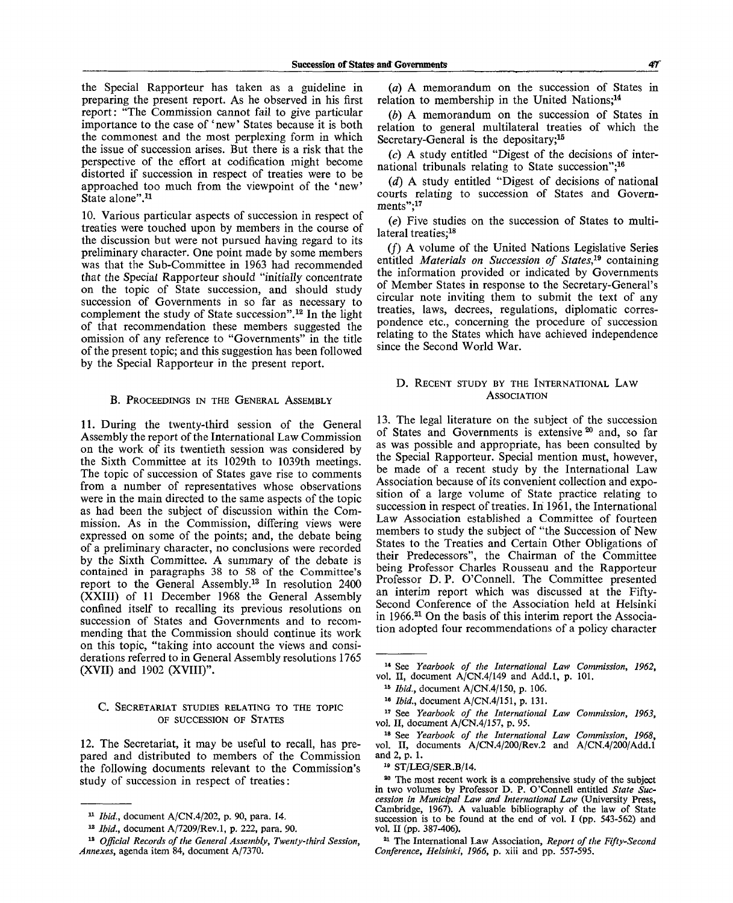the Special Rapporteur has taken as a guideline in preparing the present report. As he observed in his first report: "The Commission cannot fail to give particular importance to the case of 'new' States because it is both the commonest and the most perplexing form in which the issue of succession arises. But there is a risk that the perspective of the effort at codification might become distorted if succession in respect of treaties were to be approached too much from the viewpoint of the 'new' State alone".<sup>11</sup>

10. Various particular aspects of succession in respect of treaties were touched upon by members in the course of the discussion but were not pursued having regard to its preliminary character. One point made by some members was that the Sub-Committee in 1963 had recommended that the Special Rapporteur should "initially concentrate on the topic of State succession, and should study succession of Governments in so far as necessary to complement the study of State succession".<sup>12</sup> In the light of that recommendation these members suggested the omission of any reference to "Governments" in the title of the present topic; and this suggestion has been followed by the Special Rapporteur in the present report.

#### B. PROCEEDINGS IN THE GENERAL ASSEMBLY

11. During the twenty-third session of the General Assembly the report of the International Law Commission on the work of its twentieth session was considered by the Sixth Committee at its 1029th to 1039th meetings. The topic of succession of States gave rise to comments from a number of representatives whose observations were in the main directed to the same aspects of the topic as had been the subject of discussion within the Commission. As in the Commission, differing views were expressed on some of the points; and, the debate being of a preliminary character, no conclusions were recorded by the Sixth Committee. A summary of the debate is contained in paragraphs 38 to 58 of the Committee's report to the General Assembly.<sup>13</sup> In resolution 2400 (XXIII) of 11 December 1968 the General Assembly confined itself to recalling its previous resolutions on succession of States and Governments and to recommending that the Commission should continue its work on this topic, "taking into account the views and considerations referred to in General Assembly resolutions 1765 (XVII) and 1902 (XVIII)".

## C. SECRETARIAT STUDIES RELATING TO THE TOPIC OF SUCCESSION OF STATES

12. The Secretariat, it may be useful to recall, has prepared and distributed to members of the Commission the following documents relevant to the Commission's study of succession in respect of treaties:

*(a)* A memorandum on the succession of States in relation to membership in the United Nations;<sup>14</sup>

*{b)* A memorandum on the succession of States in relation to general multilateral treaties of which the Secretary-General is the depositary;<sup>15</sup>

*(c)* A study entitled "Digest of the decisions of international tribunals relating to State succession";<sup>16</sup>

*(d)* A study entitled "Digest of decisions of national courts relating to succession of States and Governments":<sup>17</sup>

(e) Five studies on the succession of States to multilateral treaties;<sup>18</sup>

(/) A volume of the United Nations Legislative Series entitled *Materials on Succession of States,<sup>19</sup>* containing the information provided or indicated by Governments of Member States in response to the Secretary-General's circular note inviting them to submit the text of any treaties, laws, decrees, regulations, diplomatic correspondence etc., concerning the procedure of succession relating to the States which have achieved independence since the Second World War.

## D. RECENT STUDY BY THE INTERNATIONAL LAW **ASSOCIATION**

13. The legal literature on the subject of the succession of States and Governments is extensive <sup>20</sup> and, so far as was possible and appropriate, has been consulted by the Special Rapporteur. Special mention must, however, be made of a recent study by the International Law Association because of its convenient collection and exposition of a large volume of State practice relating to succession in respect of treaties. In 1961, the International Law Association established a Committee of fourteen members to study the subject of "the Succession of New States to the Treaties and Certain Other Obligations of their Predecessors", the Chairman of the Committee being Professor Charles Rousseau and the Rapporteur Professor D. P. O'Connell. The Committee presented an interim report which was discussed at the Fifty-Second Conference of the Association held at Helsinki in 1966.<sup>21</sup> On the basis of this interim report the Association adopted four recommendations of a policy character

14 See *Yearbook of the International Law Commission, 1962,* vol. II, document A/CN.4/149 and Add.l, p. 101.

<sup>11</sup>  *Ibid.,* document A/CN.4/202, p. 90, para. 14.

<sup>18</sup>  *Ibid.,* document A/7209/Rev.l, p. 222, para. 90.

<sup>18</sup>  *Official Records of the General Assembly, Twenty-third Session, Annexes,* agenda item 84, document A/7370.

<sup>15</sup>  *Ibid.,* document A/CN.4/150, p. 106.

<sup>16</sup>  *Ibid.,* document A/CN.4/151, p. 131.

<sup>17</sup> See *Yearbook of the International Law Commission, 1963,* vol. II, document A/CN.4/157, p. 95.

<sup>18</sup> See *Yearbook of the International Law Commission, 1968,* vol. II, documents A/CN.4/200/Rev.2 and A/CN.4/200/Add.1 and 2, p. 1.

<sup>19</sup> ST/LEG/SER.B/14.

<sup>&</sup>lt;sup>20</sup> The most recent work is a comprehensive study of the subject in two volumes by Professor D. P. O'Connell entitled *State Succession in Municipal Law and International Law* (University Press, Cambridge, 1967). A valuable bibliography of the law of State succession is to be found at the end of vol. I (pp. 543-562) and vol. II (pp. 387-406).

<sup>21</sup> The International Law Association, *Report of the Fifty-Second Conference, Helsinki, 1966,* p. xiii and pp. 557-595.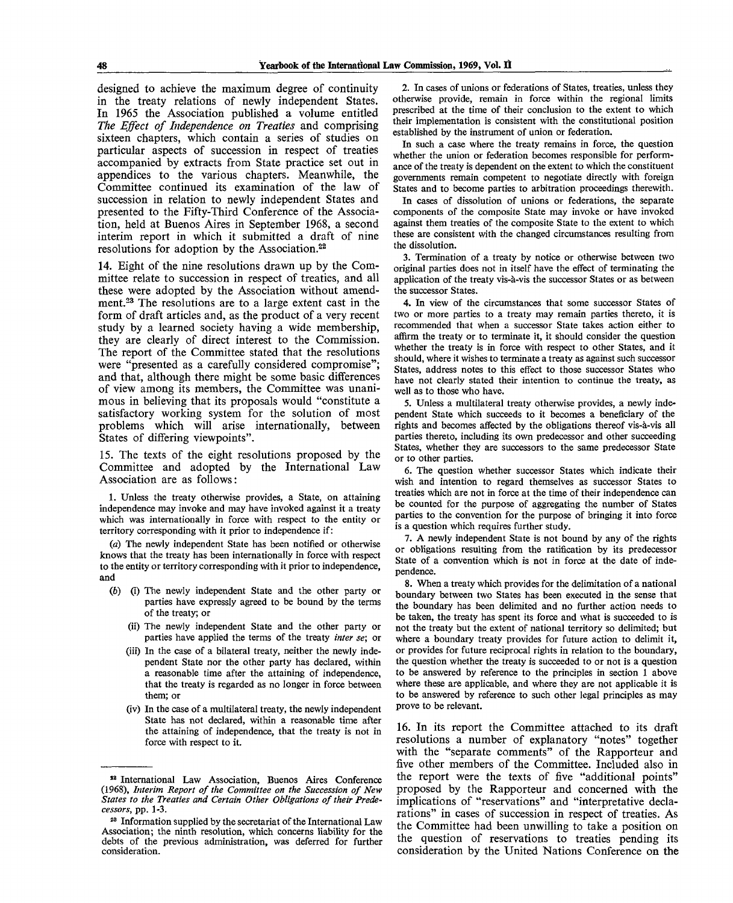designed to achieve the maximum degree of continuity in the treaty relations of newly independent States. In 1965 the Association published a volume entitled *The Effect of Independence on Treaties* and comprising sixteen chapters, which contain a series of studies on particular aspects of succession in respect of treaties accompanied by extracts from State practice set out in appendices to the various chapters. Meanwhile, the Committee continued its examination of the law of succession in relation to newly independent States and presented to the Fifty-Third Conference of the Association, held at Buenos Aires in September 1968, a second interim report in which it submitted a draft of nine resolutions for adoption by the Association.<sup>22</sup>

14. Eight of the nine resolutions drawn up by the Committee relate to succession in respect of treaties, and all these were adopted by the Association without amendment.<sup>23</sup> The resolutions are to a large extent cast in the form of draft articles and, as the product of a very recent study by a learned society having a wide membership, they are clearly of direct interest to the Commission. The report of the Committee stated that the resolutions were "presented as a carefully considered compromise"; and that, although there might be some basic differences of view among its members, the Committee was unanimous in believing that its proposals would "constitute a satisfactory working system for the solution of most problems which will arise internationally, between States of differing viewpoints".

15. The texts of the eight resolutions proposed by the Committee and adopted by the International Law Association are as follows:

1. Unless the treaty otherwise provides, a State, on attaining independence may invoke and may have invoked against it a treaty which was internationally in force with respect to the entity or territory corresponding with it prior to independence if:

(a) The newly independent State has been notified or otherwise knows that the treaty has been internationally in force with respect to the entity or territory corresponding with it prior to independence, and

- (6) (i) The newly independent State and the other party or parties have expressly agreed to be bound by the terms of the treaty; or
	- (ii) The newly independent State and the other party or parties have applied the terms of the treaty *inter se;* or
	- (iii) In the case of a bilateral treaty, neither the newly independent State nor the other party has declared, within a reasonable time after the attaining of independence, that the treaty is regarded as no longer in force between them; or
	- (iv) In the case of a multilateral treaty, the newly independent State has not declared, within a reasonable time after the attaining of independence, that the treaty is not in force with respect to it.

2. In cases of unions or federations of States, treaties, unless they otherwise provide, remain in force within the regional limits prescribed at the time of their conclusion to the extent to which their implementation is consistent with the constitutional position established by the instrument of union or federation.

In such a case where the treaty remains in force, the question whether the union or federation becomes responsible for performance of the treaty is dependent on the extent to which the constituent governments remain competent to negotiate directly with foreign States and to become parties to arbitration proceedings therewith.

In cases of dissolution of unions or federations, the separate components of the composite State may invoke or have invoked against them treaties of the composite State to the extent to which these are consistent with the changed circumstances resulting from the dissolution.

3. Termination of a treaty by notice or otherwise between two original parties does not in itself have the effect of terminating the application of the treaty vis-a-vis the successor States or as between the successor States.

4. In view of the circumstances that some successor States of two or more parties to a treaty may remain parties thereto, it is recommended that when a successor State takes action either to affirm the treaty or to terminate it, it should consider the question whether the treaty is in force with respect to other States, and it should, where it wishes to terminate a treaty as against such successor States, address notes to this effect to those successor States who have not clearly stated their intention to continue the treaty, as well as to those who have.

5. Unless a multilateral treaty otherwise provides, a newly independent State which succeeds to it becomes a beneficiary of the rights and becomes affected by the obligations thereof vis-a-vis all parties thereto, including its own predecessor and other succeeding States, whether they are successors to the same predecessor State or to other parties.

6. The question whether successor States which indicate their wish and intention to regard themselves as successor States to treaties which are not in force at the time of their independence can be counted for the purpose of aggregating the number of States parties to the convention for the purpose of bringing it into force is a question which requires further study.

7. A newly independent State is not bound by any of the rights or obligations resulting from the ratification by its predecessor State of a convention which is not in force at the date of independence.

8. When a treaty which provides for the delimitation of a national boundary between two States has been executed in the sense that the boundary has been delimited and no further action needs to be taken, the treaty has spent its force and what is succeeded to is not the treaty but the extent of national territory so delimited; but where a boundary treaty provides for future action to delimit it, or provides for future reciprocal rights in relation to the boundary, the question whether the treaty is succeeded to or not is a question to be answered by reference to the principles in section 1 above where these are applicable, and where they are not applicable it is to be answered by reference to such other legal principles as may prove to be relevant.

16. In its report the Committee attached to its draft resolutions a number of explanatory "notes" together with the "separate comments" of the Rapporteur and five other members of the Committee. Included also in the report were the texts of five "additional points" proposed by the Rapporteur and concerned with the implications of "reservations" and "interpretative declarations" in cases of succession in respect of treaties. As the Committee had been unwilling to take a position on the question of reservations to treaties pending its consideration by the United Nations Conference on the

<sup>1&</sup>lt;sup>2</sup> International Law Association, Buenos Aires Conference (1968), *Interim Report of the Committee on the Succession of New States to the Treaties and Certain Other Obligations of their Predecessors,* pp. 1-3.

<sup>&</sup>lt;sup>23</sup> Information supplied by the secretariat of the International Law Association; the ninth resolution, which concerns liability for the debts of the previous administration, was deferred for further consideration.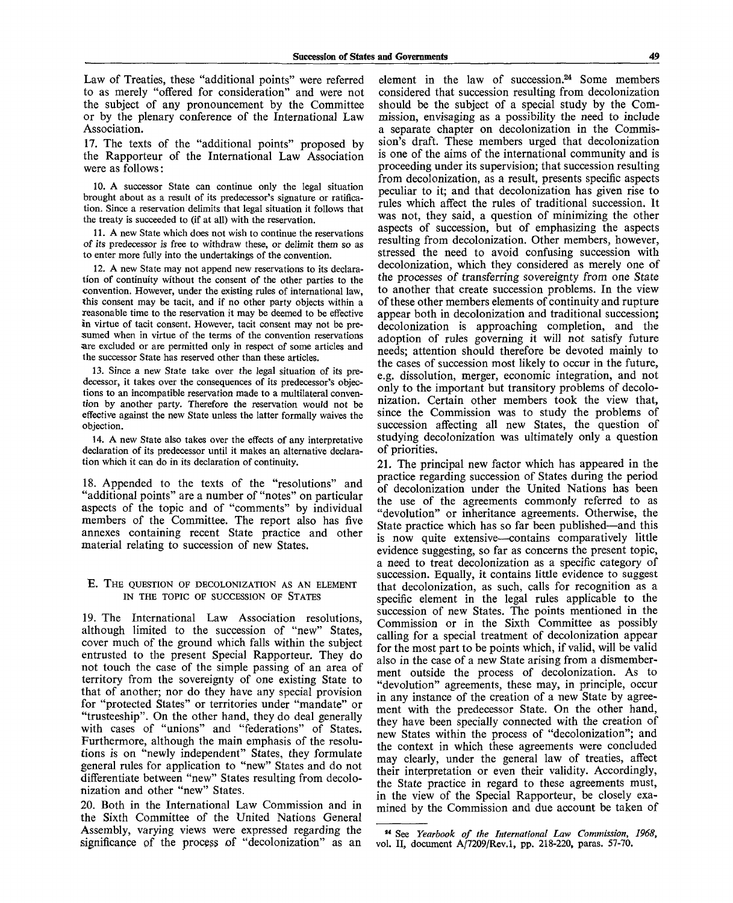Law of Treaties, these "additional points" were referred to as merely "offered for consideration" and were not the subject of any pronouncement by the Committee or by the plenary conference of the International Law Association.

17. The texts of the "additional points" proposed by the Rapporteur of the International Law Association were as follows:

10. A successor State can continue only the legal situation brought about as a result of its predecessor's signature or ratification. Since a reservation delimits that legal situation it follows that the treaty is succeeded to (if at all) with the reservation.

11. A new State which does not wish to continue the reservations of its predecessor is free to withdraw these, or delimit them so as to enter more fully into the undertakings of the convention.

12. A new State may not append new reservations to its declaration of continuity without the consent of the other parties to the convention. However, under the existing rules of international law, this consent may be tacit, and if no other party objects within a reasonable time to the reservation it may be deemed to be effective in virtue of tacit consent. However, tacit consent may not be presumed when in virtue of the terms of the convention reservations are excluded or are permitted only in respect of some articles and the successor State has reserved other than these articles.

13. Since a new State take over the legal situation of its predecessor, it takes over the consequences of its predecessor's objections to an incompatible reservation made to a multilateral convention by another party. Therefore the reservation would not be effective against the new State unless the latter formally waives the objection.

14. A new State also takes over the effects of any interpretative declaration of its predecessor until it makes an alternative declaration which it can do in its declaration of continuity.

18. Appended to the texts of the "resolutions" and "additional points" are a number of "notes" on particular aspects of the topic and of "comments" by individual members of the Committee. The report also has five annexes containing recent State practice and other material relating to succession of new States.

## E. THE QUESTION OF DECOLONIZATION AS AN ELEMENT IN THE TOPIC OF SUCCESSION OF STATES

19. The International Law Association resolutions, although limited to the succession of "new" States, cover much of the ground which falls within the subject entrusted to the present Special Rapporteur. They do not touch the case of the simple passing of an area of territory from the sovereignty of one existing State to that of another; nor do they have any special provision for "protected States" or territories under "mandate" or "trusteeship". On the other hand, they do deal generally with cases of "unions" and "federations" of States. Furthermore, although the main emphasis of the resolutions is on "newly independent" States, they formulate general rules for application to "new" States and do not differentiate between "new" States resulting from decolonization and other "new" States.

20. Both in the International Law Commission and in the Sixth Committee of the United Nations General Assembly, varying views were expressed regarding the significance of the process of "decolonization" as an

element in the law of succession.<sup>24</sup> Some members considered that succession resulting from decolonization should be the subject of a special study by the Commission, envisaging as a possibility the need to include a separate chapter on decolonization in the Commission's draft. These members urged that decolonization is one of the aims of the international community and is proceeding under its supervision; that succession resulting from decolonization, as a result, presents specific aspects peculiar to it; and that decolonization has given rise to rules which affect the rules of traditional succession. It was not, they said, a question of minimizing the other aspects of succession, but of emphasizing the aspects resulting from decolonization. Other members, however, stressed the need to avoid confusing succession with decolonization, which they considered as merely one of the processes of transferring sovereignty from one State to another that create succession problems. In the view of these other members elements of continuity and rupture appear both in decolonization and traditional succession; decolonization is approaching completion, and the adoption of rules governing it will not satisfy future needs; attention should therefore be devoted mainly to the cases of succession most likely to occur in the future, e.g. dissolution, merger, economic integration, and not only to the important but transitory problems of decolonization. Certain other members took the view that, since the Commission was to study the problems of succession affecting all new States, the question of studying decolonization was ultimately only a question of priorities.

21. The principal new factor which has appeared in the practice regarding succession of States during the period of decolonization under the United Nations has been the use of the agreements commonly referred to as "devolution" or inheritance agreements. Otherwise, the State practice which has so far been published—and this is now quite extensive—contains comparatively little evidence suggesting, so far as concerns the present topic, a need to treat decolonization as a specific category of succession. Equally, it contains little evidence to suggest that decolonization, as such, calls for recognition as a specific element in the legal rules applicable to the succession of new States. The points mentioned in the Commission or in the Sixth Committee as possibly calling for a special treatment of decolonization appear for the most part to be points which, if valid, will be valid also in the case of a new State arising from a dismemberment outside the process of decolonization. As to "devolution" agreements, these may, in principle, occur in any instance of the creation of a new State by agreement with the predecessor State. On the other hand, they have been specially connected with the creation of new States within the process of "decolonization"; and the context in which these agreements were concluded may clearly, under the general law of treaties, affect their interpretation or even their validity. Accordingly, the State practice in regard to these agreements must, in the view of the Special Rapporteur, be closely examined by the Commission and due account be taken of

<sup>24</sup> See *Yearbook of the International Law Commission, 1968,* vol. II, document A/7209/Rev.l, pp. 218-220, paras. 57-70.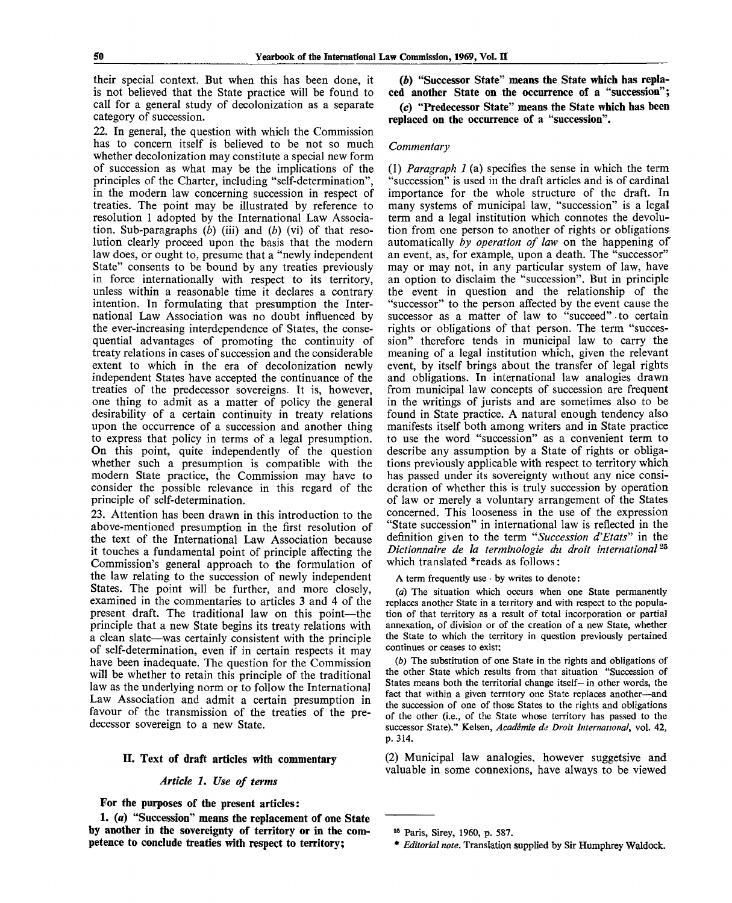their special context. But when this has been done, it is not believed that the State practice will be found to call for a general study of decolonization as a separate category of succession.

22. In general, the question with which the Commission has to concern itself is believed to be not so much whether decolonization may constitute a special new form of succession as what may be the implications of the principles of the Charter, including "self-determination", in the modern law concerning succession in respect of treaties. The point may be illustrated by reference to resolution 1 adopted by the International Law Association. Sub-paragraphs *(b)* (iii) and *(b)* (vi) of that resolution clearly proceed upon the basis that the modern law does, or ought to, presume that a "newly independent State" consents to be bound by any treaties previously in force internationally with respect to its territory, unless within a reasonable time it declares a contrary intention. In formulating that presumption the International Law Association was no doubt influenced by the ever-increasing interdependence of States, the consequential advantages of promoting the continuity of treaty relations in cases of succession and the considerable extent to which in the era of decolonization newly independent States have accepted the continuance of the treaties of the predecessor sovereigns. It is, however, one thing to admit as a matter of policy the general desirability of a certain continuity in treaty relations upon the occurrence of a succession and another thing to express that policy in terms of a legal presumption. On this point, quite independently of the question whether such a presumption is compatible with the modern State practice, the Commission may have to consider the possible relevance in this regard of the principle of self-determination.

23. Attention has been drawn in this introduction to the above-mentioned presumption in the first resolution of the text of the International Law Association because it touches a fundamental point of principle affecting the Commission's general approach to the formulation of the law relating to the succession of newly independent States. The point will be further, and more closely, examined in the commentaries to articles 3 and 4 of the present draft. The traditional law on this point—the principle that a new State begins its treaty relations with a clean slate—was certainly consistent with the principle of self-determination, even if in certain respects it may have been inadequate. The question for the Commission will be whether to retain this principle of the traditional law as the underlying norm or to follow the International Law Association and admit a certain presumption in favour of the transmission of the treaties of the predecessor sovereign to a new State.

### **II. Text of draft articles with commentary**

## *Article 1. Use of terms*

**For the purposes of the present articles:**

**1. (a) "Succession" means the replacement of one State by another in the sovereignty of territory or in the competence to conclude treaties with respect to territory;**

*(b)* **"Successor State" means the State which has replaced another State on the occurrence of a "succession";**

**(c) "Predecessor State" means the State which has been replaced on the occurrence of a "succession".**

#### *Commentary*

(1) *Paragraph 1* (a) specifies the sense in which the term 'succession" is used in the draft articles and is of cardinal importance for the whole structure of the draft. In many systems of municipal law, "succession" is a legal term and a legal institution which connotes the devolution from one person to another of rights or obligations automatically *by operation of law* on the happening of an event, as, for example, upon a death. The "successor" may or may not, in any particular system of law, have an option to disclaim the "succession". But in principle the event in question and the relationship of the "successor" to the person affected by the event cause the successor as a matter of law to "succeed" to certain rights or obligations of that person. The term "succession" therefore tends in municipal law to carry the meaning of a legal institution which, given the relevant event, by itself brings about the transfer of legal rights and obligations. In international law analogies drawn from municipal law concepts of succession are frequent in the writings of jurists and are sometimes also to be found in State practice. A natural enough tendency also manifests itself both among writers and in State practice to use the word "succession" as a convenient term to describe any assumption by a State of rights or obligations previously applicable with respect to territory which has passed under its sovereignty without any nice consideration of whether this is truly succession by operation of law or merely a voluntary arrangement of the States concerned. This looseness in the use of the expression "State succession" in international law is reflected in the definition given to the term *"Succession d'Etats"* in the *Dictionnaire de la terminologie du droit international^* which translated \*reads as follows:

A term frequently use • by writes to denote:

*(a)* The situation which occurs when one State permanently replaces another State in a tetritory and with respect to the population of that territory as a result of total incorporation or partial annexation, of division or of the creation of a new State, whether the State to which the territory in question previously pertained continues or ceases to exist:

*(b)* The substitution of one State in the rights and obligations of the other State which results from that situation "Succession of States means both the territorial change itself- in other words, the fact that within a given territory one State replaces another—and the succession of one of those States to the rights and obligations of the other (i.e., of the State whose territory has passed to the successor State)." Kelsen, *Academie de Droit International,* vol. **42,** p. 314.

(2) Municipal law analogies, however suggetsive and valuable in some connexions, have always to be viewed

**as** Paris, Sirey, 1960, **p.** 587.

**<sup>\*</sup>** *Editorial note.* Translation supplied **by Sir Humphrey** Waldock.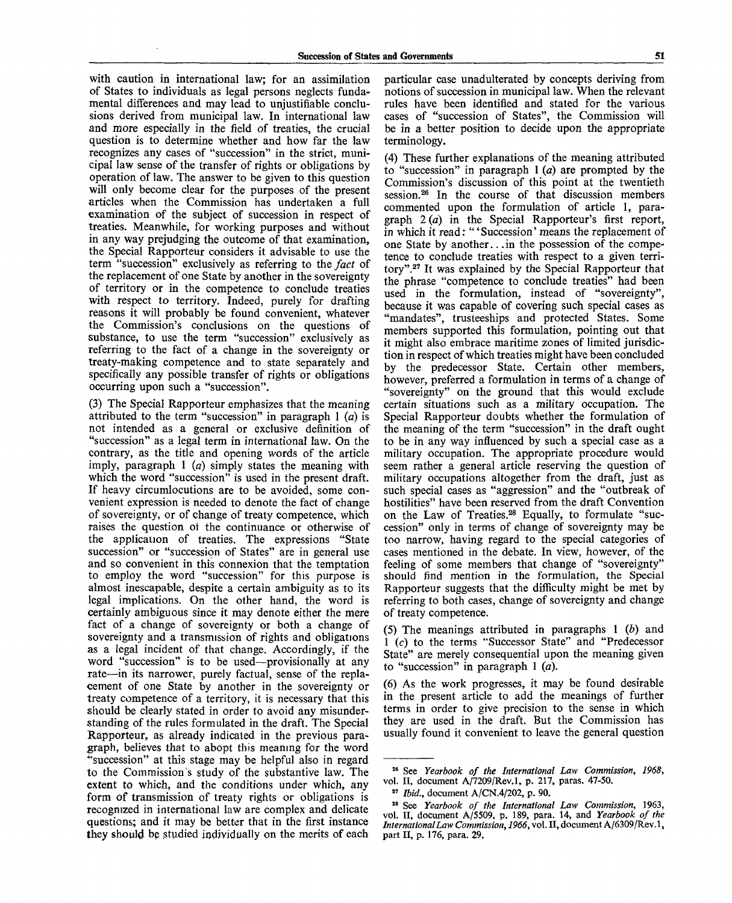with caution in international law; for an assimilation of States to individuals as legal persons neglects fundamental differences and may lead to unjustifiable conclusions derived from municipal law. In international law and more especially in the field of treaties, the crucial question is to determine whether and how far the law recognizes any cases of "succession" in the strict, municipal law sense of the transfer of rights or obligations by operation of law. The answer to be given to this question will only become clear for the purposes of the present articles when the Commission has undertaken a full examination of the subject of succession in respect of treaties. Meanwhile, for working purposes and without in any way prejudging the outcome of that examination, the Special Rapporteur considers it advisable to use the term "succession" exclusively as referring to the *fact* of the replacement of one State by another in the sovereignty of territory or in the competence to conclude treaties with respect to territory. Indeed, purely for drafting reasons it will probably be found convenient, whatever the Commission's conclusions on the questions of substance, to use the term "succession" exclusively as referring to the fact of a change in the sovereignty or treaty-making competence and to state separately and specifically any possible transfer of rights or obligations occurring upon such a "succession".

(3) The Special Rapporteur emphasizes that the meaning attributed to the term "succession" in paragraph  $1(a)$  is not intended as a general or exclusive definition of "succession" as a legal term in international law. On the contrary, as the title and opening words of the article imply, paragraph 1 *(a)* simply states the meaning with which the word "succession" is used in the present draft. If heavy circumlocutions are to be avoided, some convenient expression is needed to denote the fact of change of sovereignty, or of change of treaty competence, which raises the question oi the continuance or otherwise of the application of treaties. The expressions "State succession" or "succession of States" are in general use and so convenient in this connexion that the temptation to employ the word "succession" for this purpose is almost inescapable, despite a certain ambiguity as to its legal implications. On the other hand, the word is certainly ambiguous since it may denote either the mere fact of a change of sovereignty or both a change of sovereignty and a transmission of rights and obligations as a legal incident of that change. Accordingly, if the word "succession" is to be used—provisionally at any rate—in its narrower, purely factual, sense of the replacement of one State by another in the sovereignty or treaty competence of a territory, it is necessary that this should be clearly stated in order to avoid any misunderstanding of the rules formulated in the draft. The Special Rapporteur, as already indicated in the previous paragraph, believes that to abopt this meaning for the word "succession" at this stage may be helpful also in regard to the Commission's study of the substantive law. The extent to which, and the conditions under which, any form of transmission of treaty rights or obligations is recognized in international law are complex and delicate questions; and it may be better that in the first instance they should be studied individually on the merits of each particular case unadulterated by concepts deriving from notions of succession in municipal law. When the relevant rules have been identified and stated for the various cases of "succession of States", the Commission will be in a better position to decide upon the appropriate terminology.

(4) These further explanations of the meaning attributed to "succession" in paragraph 1 *(a)* are prompted by the Commission's discussion of this point at the twentieth session.<sup>26</sup> In the course of that discussion members commented upon the formulation of article 1, paragraph  $2(a)$  in the Special Rapporteur's first report, in which it read: " 'Succession' means the replacement of one State by another.. .in the possession of the competence to conclude treaties with respect to a given territory".<sup>27</sup> It was explained by the Special Rapporteur that the phrase "competence to conclude treaties" had been used in the formulation, instead of "sovereignty", because it was capable of covering such special cases as "mandates", trusteeships and protected States. Some members supported this formulation, pointing out that it might also embrace maritime zones of limited jurisdiction in respect of which treaties might have been concluded by the predecessor State. Certain other members, however, preferred a formulation in terms of a change of "sovereignty" on the ground that this would exclude certain situations such as a military occupation. The Special Rapporteur doubts whether the formulation of the meaning of the term "succession" in the draft ought to be in any way influenced by such a special case as a military occupation. The appropriate procedure would seem rather a general article reserving the question of military occupations altogether from the draft, just as such special cases as "aggression" and the "outbreak of hostilities" have been reserved from the draft Convention on the Law of Treaties.<sup>28</sup> Equally, to formulate "succession" only in terms of change of sovereignty may be too narrow, having regard to the special categories of cases mentioned in the debate. In view, however, of the feeling of some members that change of "sovereignty" should find mention in the formulation, the Special Rapporteur suggests that the difficulty might be met by referring to both cases, change of sovereignty and change of treaty competence.

(5) The meanings attributed in paragraphs 1 *(b)* and 1 (c) to the terms "Successor State" and "Predecessor State" are merely consequential upon the meaning given to "succession" in paragraph 1 *(a).*

(6) As the work progresses, it may be found desirable in the present article to add the meanings of further terms in order to give precision to the sense in which they are used in the draft. But the Commission has usually found it convenient to leave the general question

<sup>26</sup> See *Yearbook of the International Law Commission, 1968,* vol. II, document A/7209/Rev.l, p. 217, paras. 47-50.

<sup>27</sup>  *Ibid.,* document A/CN.4/202, p. 90.

<sup>28</sup> See *Yearbook of the International Law Commission,* 1963, vol. **II,** document A/5509, p. 189, para. 14, and *Yearbook of the International Law Commission, 1966,* vol. II, document A/6309/Rev.l, part II, p. 176, para. 29.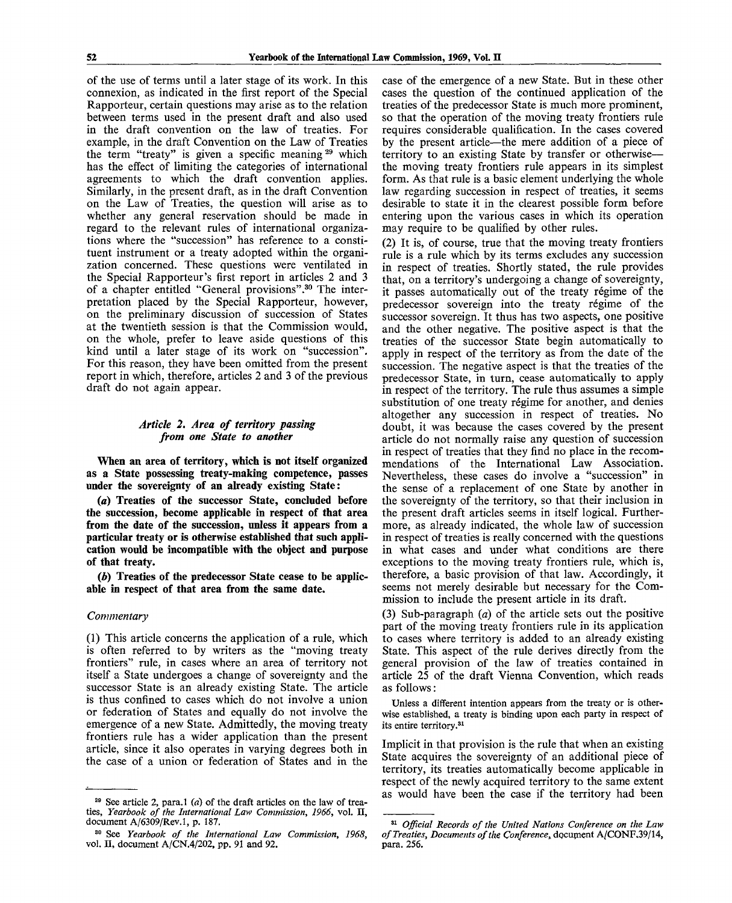of the use of terms until a later stage of its work. In this connexion, as indicated in the first report of the Special Rapporteur, certain questions may arise as to the relation between terms used in the present draft and also used in the draft convention on the law of treaties. For example, in the draft Convention on the Law of Treaties the term "treaty" is given a specific meaning <sup>29</sup> which has the effect of limiting the categories of international agreements to which the draft convention applies. Similarly, in the present draft, as in the draft Convention on the Law of Treaties, the question will arise as to whether any general reservation should be made in regard to the relevant rules of international organizations where the "succession" has reference to a constituent instrument or a treaty adopted within the organization concerned. These questions were ventilated in the Special Rapporteur's first report in articles 2 and 3 of a chapter entitled "General provisions".<sup>30</sup> The interpretation placed by the Special Rapporteur, however, on the preliminary discussion of succession of States at the twentieth session is that the Commission would, on the whole, prefer to leave aside questions of this kind until a later stage of its work on "succession". For this reason, they have been omitted from the present report in which, therefore, articles 2 and 3 of the previous draft do not again appear.

## *Article 2. Area of territory passing from one State to another*

**When an area of territory, which is not itself organized as a State possessing treaty-making competence, passes under the sovereignty of an already existing State:**

**(a) Treaties of the successor State, concluded before the succession, become applicable in respect of that area from the date of the succession, unless it appears from a particular treaty or is otherwise established that such application would be incompatible with the object and purpose of that treaty.**

(b) Treaties of the predecessor State cease to be applic**able in respect of that area from the same date.**

#### *Commentary*

(1) This article concerns the application of a rule, which is often referred to by writers as the "moving treaty frontiers" rule, in cases where an area of territory not itself a State undergoes a change of sovereignty and the successor State is an already existing State. The article is thus confined to cases which do not involve a union or federation of States and equally do not involve the emergence of a new State. Admittedly, the moving treaty frontiers rule has a wider application than the present article, since it also operates in varying degrees both in the case of a union or federation of States and in the

case of the emergence of a new State. But in these other cases the question of the continued application of the treaties of the predecessor State is much more prominent, so that the operation of the moving treaty frontiers rule requires considerable qualification. In the cases covered by the present article—the mere addition of a piece of territory to an existing State by transfer or otherwise the moving treaty frontiers rule appears in its simplest form. As that rule is a basic element underlying the whole law regarding succession in respect of treaties, it seems desirable to state it in the clearest possible form before entering upon the various cases in which its operation may require to be qualified by other rules.

(2) It is, of course, true that the moving treaty frontiers rule is a rule which by its terms excludes any succession in respect of treaties. Shortly stated, the rule provides that, on a territory's undergoing a change of sovereignty, it passes automatically out of the treaty regime of the predecessor sovereign into the treaty regime of the successor sovereign. It thus has two aspects, one positive and the other negative. The positive aspect is that the treaties of the successor State begin automatically to apply in respect of the territory as from the date of the succession. The negative aspect is that the treaties of the predecessor State, in turn, cease automatically to apply in respect of the territory. The rule thus assumes a simple substitution of one treaty régime for another, and denies altogether any succession in respect of treaties. No doubt, it was because the cases covered by the present article do not normally raise any question of succession in respect of treaties that they find no place in the recommendations of the International Law Association. Nevertheless, these cases do involve a "succession" in the sense of a replacement of one State by another in the sovereignty of the territory, so that their inclusion in the present draft articles seems in itself logical. Furthermore, as already indicated, the whole law of succession in respect of treaties is really concerned with the questions in what cases and under what conditions are there exceptions to the moving treaty frontiers rule, which is, therefore, a basic provision of that law. Accordingly, it seems not merely desirable but necessary for the Commission to include the present article in its draft.

(3) Sub-paragraph *(a)* of the article sets out the positive part of the moving treaty frontiers rule in its application to cases where territory is added to an already existing State. This aspect of the rule derives directly from the general provision of the law of treaties contained in article 25 of the draft Vienna Convention, which reads as follows:

Unless a different intention appears from the treaty or is otherwise established, a treaty is binding upon each party in respect of its entire territory.<sup>31</sup>

Implicit in that provision is the rule that when an existing State acquires the sovereignty of an additional piece of territory, its treaties automatically become applicable in respect of the newly acquired territory to the same extent as would have been the case if the territory had been

<sup>29</sup> See article 2, para.l *(a)* of the draft articles on the law of treaties, *Yearbook of the International Law Commission, 1966,* vol. II, document A/6309/Rev.l, p. 187.

<sup>30</sup> See *Yearbook of the International Law Commission, 1968,* vol. **II,** document A/CN.4/202, pp. 91 and 92.

<sup>31</sup>  *Official Records of the United Nations Conference on the Law of Treaties, Documents of the Conference,* document A/CONF.39/14, para. 256.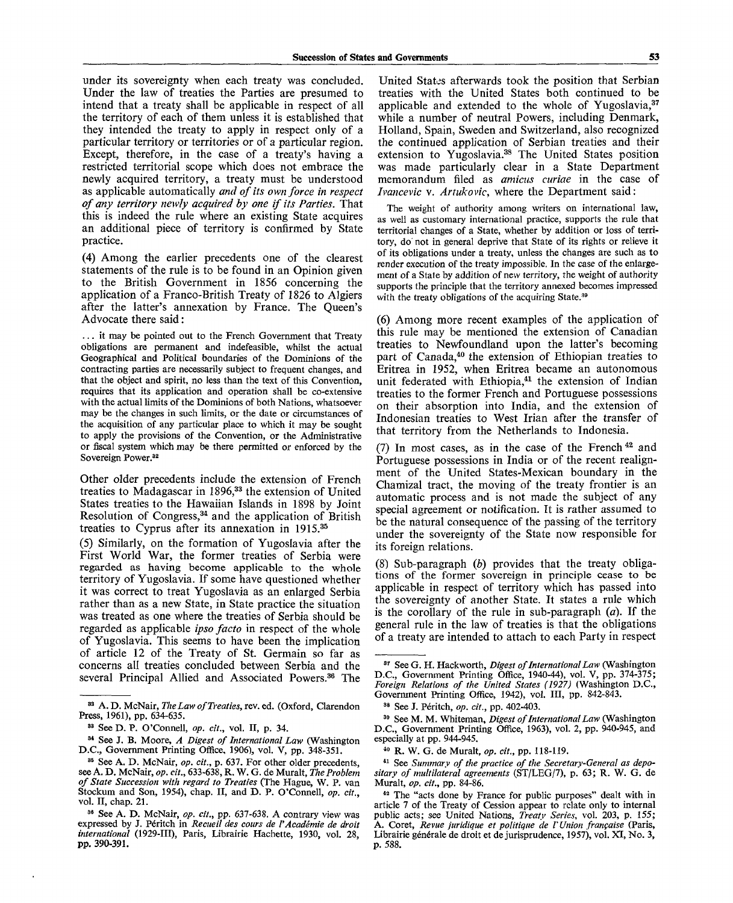under its sovereignty when each treaty was concluded. Under the law of treaties the Parties are presumed to intend that a treaty shall be applicable in respect of all the territory of each of them unless it is established that they intended the treaty to apply in respect only of a particular territory or territories or of a particular region. Except, therefore, in the case of a treaty's having a restricted territorial scope which does not embrace the newly acquired territory, a treaty must be understood as applicable automatically *and of its own force in respect of any territory newly acquired by one if its Parties.* That this is indeed the rule where an existing State acquires an additional piece of territory is confirmed by State practice.

(4) Among the earlier precedents one of the clearest statements of the rule is to be found in an Opinion given to the British Government in 1856 concerning the application of a Franco-British Treaty of 1826 to Algiers after the latter's annexation by France. The Queen's Advocate there said:

... it may be pointed out to the French Government that Treaty obligations are permanent and indefeasible, whilst the actual Geographical and Political boundaries of the Dominions of the contracting parties are necessarily subject to frequent changes, and that the object and spirit, no less than the text of this Convention, requires that its application and operation shall be co-extensive with the actual limits of the Dominions of both Nations, whatsoever may be the changes in such limits, or the date or circumstances of the acquisition of any particular place to which it may be sought to apply the provisions of the Convention, or the Administrative or fiscal system which may be there permitted or enforced by the Sovereign Power.<sup>32</sup>

Other older precedents include the extension of French treaties to Madagascar in 1896,<sup>33</sup> the extension of United States treaties to the Hawaiian Islands in 1898 by Joint Resolution of Congress,<sup>34</sup> and the application of British treaties to Cyprus after its annexation in 1915.<sup>35</sup>

(5) Similarly, on the formation of Yugoslavia after the First World War, the former treaties of Serbia were regarded as having become applicable to the whole territory of Yugoslavia. If some have questioned whether it was correct to treat Yugoslavia as an enlarged Serbia rather than as a new State, in State practice the situation was treated as one where the treaties of Serbia should be regarded as applicable *ipso facto* in respect of the whole of Yugoslavia. This seems to have been the implication of article 12 of the Treaty of St. Germain so far as concerns all treaties concluded between Serbia and the several Principal Allied and Associated Powers.<sup>36</sup> The

United States afterwards took the position that Serbian treaties with the United States both continued to be applicable and extended to the whole of Yugoslavia,<sup>37</sup> while a number of neutral Powers, including Denmark, Holland, Spain, Sweden and Switzerland, also recognized the continued application of Serbian treaties and their extension to Yugoslavia.<sup>38</sup> The United States position was made particularly clear in a State Department memorandum filed as *amicus curiae* in the case of *Ivancevic* v. *Artukovic,* where the Department said:

The weight of authority among writers on international law, as well as customary international practice, supports the rule that territorial changes of a State, whether by addition or loss of territory, do' not in general deprive that State of its rights or relieve it of its obligations under a treaty, unless the changes are such as to render execution of the treaty impossible. In the case of the enlargement of a State by addition of new territory, the weight of authority supports the principle that the territory annexed becomes impressed with the treaty obligations of the acquiring State.<sup>39</sup>

(6) Among more recent examples of the application of this rule may be mentioned the extension of Canadian treaties to Newfoundland upon the latter's becoming part of Canada,<sup>40</sup> the extension of Ethiopian treaties *to* Eritrea in 1952, when Eritrea became an autonomous unit federated with Ethiopia,<sup>41</sup> the extension of Indian treaties to the former French and Portuguese possessions on their absorption into India, and the extension of Indonesian treaties to West Irian after the transfer of that territory from the Netherlands to Indonesia.

(7) In most cases, as in the case of the French<sup>42</sup> and Portuguese possessions in India or of the recent realignment of the United States-Mexican boundary in the Chamizal tract, the moving of the treaty frontier is an automatic process and is not made the subject of any special agreement or notification. It is rather assumed to be the natural consequence of the passing of the territory under the sovereignty of the State now responsible for its foreign relations.

(8) Sub-paragraph *(b)* provides that the treaty obligations of the former sovereign in principle cease to be applicable in respect of territory which has passed into the sovereignty of another State. It states a rule which is the corollary of the rule in sub-paragraph *(a).* If the general rule in the law of treaties is that the obligations of a treaty are intended to attach to each Party in respect

<sup>83</sup> A. D. McNair, *TlieLaw of Treaties,* rev. ed. (Oxford, Clarendon Press, 1961), pp. 634-635.

<sup>33</sup> See D. P. O'Connell, *op. cit.,* vol. II, p. 34.

<sup>34</sup> See J. B. Moore, *A Digest of International Law* (Washington D.C., Government Printing Office, 1906), vol. V, pp. 348-351.

<sup>35</sup> See A. D. McNair, *op. cit.,* p. 637. For other older precedents, see A. D. McNair, *op. cit.,* 633-638, R. W. G. de Muralt, *The Problem of State Succession with regard to Treaties* (The Hague, W. P. van Stockum and Son, 1954), chap. II, and D. P. O'Connell, *op. cit.,* vol. II, chap. 21.

<sup>86</sup> See A. D. McNair, *op. cit.,* pp. 637-638. A contrary view was expressed by J. Peritch in *Recueil des cours de VAcademie de droit international* (1929-III), Paris, Librairie Hachette, 1930, vol. 28, pp. 390-391.

<sup>&</sup>lt;sup>37</sup> See G. H. Hackworth, *Digest of International Law* (Washington D.C., Government Printing Office, 1940-44), vol. V, pp. 374-375; *Foreign Relations of the United States (1927)* (Washington D.C. , Government Printing Office, 1942), vol. III, pp. 842-843.

<sup>&</sup>lt;sup>38</sup> See J. Péritch, op. cit., pp. 402-403.

<sup>30</sup> See M. M. Whiteman, *Digest of International Law* (Washington D.C., Government Printing Office, 1963), vol. 2, pp. 940-945, and especially at pp. 944-945.

<sup>&</sup>lt;sup>40</sup> R. W. G. de Muralt, op. cit., pp. 118-119.

<sup>41</sup> See *Summary of the practice of the Secretary-General as depositary of multilateral agreements* (ST/LEG/7), p. 63; R. W. G. de Muralt, *op. cit.*, pp. 84-86.

<sup>&</sup>lt;sup>42</sup> The "acts done by France for public purposes" dealt with in article 7 of the Treaty of Cession appear to relate only to internal public acts; see United Nations, *Treaty Series,* vol. 203, p. 155; A. Coret, *Revue juridique et politique de V Union francaise* (Paris, Librairie générale de droit et de jurisprudence, 1957), vol. XI, No. 3, p. 588.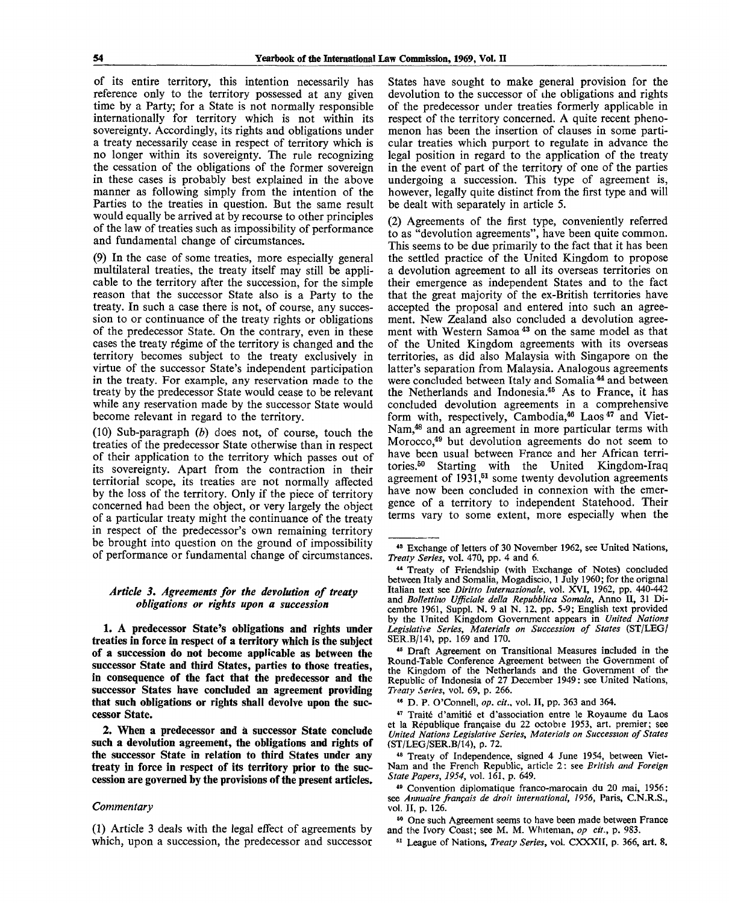of its entire territory, this intention necessarily has reference only to the territory possessed at any given time by a Party; for a State is not normally responsible internationally for territory which is not within its sovereignty. Accordingly, its rights and obligations under a treaty necessarily cease in respect of territory which is no longer within its sovereignty. The rule recognizing the cessation of the obligations of the former sovereign in these cases is probably best explained in the above manner as following simply from the intention of the Parties to the treaties in question. But the same result would equally be arrived at by recourse to other principles of the law of treaties such as impossibility of performance and fundamental change of circumstances.

(9) In the case of some treaties, more especially general multilateral treaties, the treaty itself may still be applicable to the territory after the succession, for the simple reason that the successor State also is a Party to the treaty. In such a case there is not, of course, any succession to or continuance of the treaty rights or obligations of the predecessor State. On the contrary, even in these cases the treaty régime of the territory is changed and the territory becomes subject to the treaty exclusively in virtue of the successor State's independent participation in the treaty. For example, any reservation made to the treaty by the predecessor State would cease to be relevant while any reservation made by the successor State would become relevant in regard to the territory.

(10) Sub-paragraph *(b)* does not, of course, touch the treaties of the predecessor State otherwise than in respect of their application to the territory which passes out of its sovereignty. Apart from the contraction in their territorial scope, its treaties are not normally affected by the loss of the territory. Only if the piece of territory concerned had been the object, or very largely the object of a particular treaty might the continuance of the treaty in respect of the predecessor's own remaining territory be brought into question on the ground of impossibility of performance or fundamental change of circumstances.

## *Article 3. Agreements for the devolution of treaty obligations or rights upon a succession*

**1. A predecessor State's obligations and rights under treaties in force in respect of a territory which is the subject of a succession do not become applicable as between the successor State and third States, parties to those treaties, in consequence of the fact that the predecessor and the successor States hare concluded an agreement providing that such obligations or rights shall devolve upon the successor State.**

**2. When a predecessor and a successor State conclude such a devolution agreement, the obligations and rights of the successor State in relation to third States under any treaty in force in respect of its territory prior to the succession are governed by the provisions of the present articles.**

## *Commentary*

(1) Article 3 deals with the legal effect of agreements by which, upon a succession, the predecessor and successor

States have sought to make general provision for the devolution to the successor of the obligations and rights of the predecessor under treaties formerly applicable in respect of the territory concerned. A quite recent phenomenon has been the insertion of clauses in some particular treaties which purport to regulate in advance the legal position in regard to the application of the treaty in the event of part of the territory of one of the parties undergoing a succession. This type of agreement is, however, legally quite distinct from the first type and will be dealt with separately in article 5.

(2) Agreements of the first type, conveniently referred to as "devolution agreements", have been quite common. This seems to be due primarily to the fact that it has been the settled practice of the United Kingdom to propose a devolution agreement to all its overseas territories on their emergence as independent States and to the fact that the great majority of the ex-British territories have accepted the proposal and entered into such an agreement. New Zealand also concluded a devolution agreement with Western Samoa<sup>43</sup> on the same model as that of the United Kingdom agreements with its overseas territories, as did also Malaysia with Singapore on the latter's separation from Malaysia. Analogous agreements were concluded between Italy and Somalia<sup>44</sup> and between the Netherlands and Indonesia.<sup>45</sup> As to France, it has concluded devolution agreements in a comprehensive form with, respectively, Cambodia, $46$  Laos  $47$  and Viet-Nam,<sup>48</sup> and an agreement in more particular terms with Morocco,<sup>49</sup> but devolution agreements do not seem to have been usual between France and her African territories.<sup>60</sup> Starting with the United Kingdom-Iraq  $\frac{1}{2}$  agreement of 1931,<sup>51</sup> some twenty devolution agreements have now been concluded in connexion with the emergence of a territory to independent Statehood. Their terms vary to some extent, more especially when the

43 Exchange of letters of 30 November 1962, see United Nations, *Treaty Series,* vol. 470, pp. 4 and 6.

41 Treaty of Friendship (with Exchange of Notes) concluded between Italy and Somalia, Mogadiscio, 1 July 1960; for the original Italian text see *Diritto Internazionale,* vol. XVI, 1962, pp. 440-442 and *Bollettino Ufficiale della Repubblica Somala,* Anno II, 31 Dicembre 1961, Suppl. N. 9 al N. 12, pp. 5-9; English text provided by the United Kingdom Government appears in *United Nations Legislative Series, Materials on Succession of States* (ST/LEG/ SER.B/14), pp. 169 and 170.

46 Draft Agreement on Transitional Measures included in the Round-Table Conference Agreement between the Government of the Kingdom of the Netherlands and the Government of the Republic of Indonesia of 27 December 1949: see United Nations, *Treaty Series,* vol. 69, p. 266.

46 D. P. O'Connell, *op. cit.,* vol. II, pp. 363 and 364.

<sup>47</sup> Traité d'amitié et d'association entre le Royaume du Laos et la Republique francaise du 22 octobie 1953, art. premier; see *United Nations Legislative Series, Materials on Succession of States* (ST/LEG/SER.B/14), p. 72.

48 Treaty of Independence, signed 4 June 1954, between Viet-Nam and the French Republic, article 2: see *British and Foreign State Papers, 1954,* vol. 161, p. 649.

48 Convention diplomatique franco-marocain du 20 mai, 1956: see *Annuaire francais de droit international, 1956,* Paris, C.N.R.S., vol. II, p. 126.

<sup>50</sup> One such Agreement seems to have been made between France and the Ivory Coast; see M. M. Whiteman, *op cit.,* p. 983.

51 League of Nations, *Treaty Series,* vol. CXXXII, p. 366, art. 8.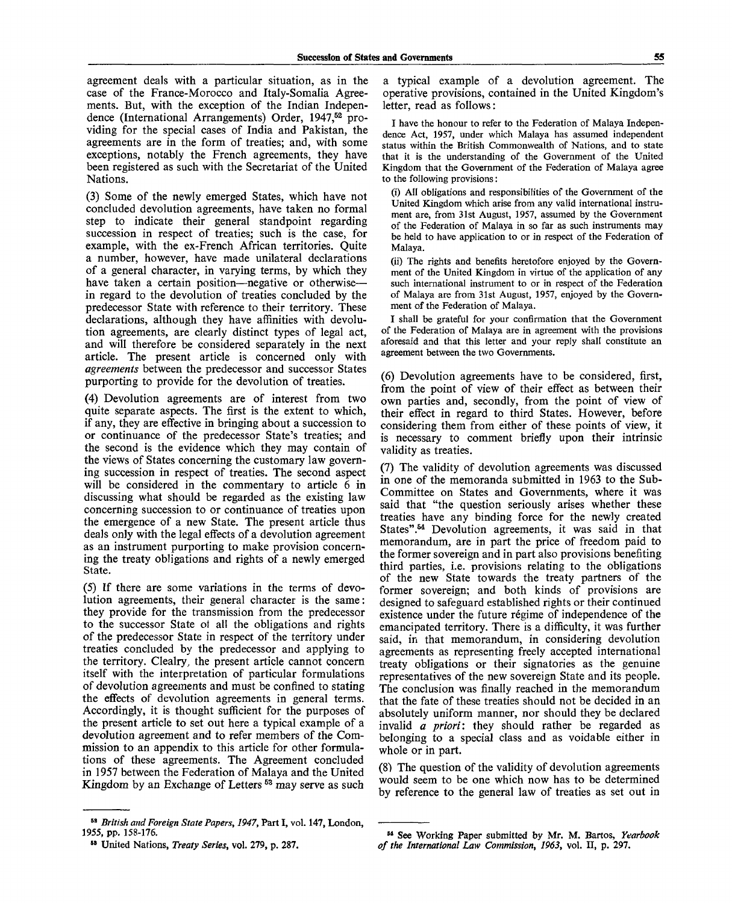agreement deals with a particular situation, as in the case of the France-Morocco and Italy-Somalia Agreements. But, with the exception of the Indian Independence (International Arrangements) Order, 1947,<sup>52</sup> providing for the special cases of India and Pakistan, the agreements are in the form of treaties; and, with some exceptions, notably the French agreements, they have been registered as such with the Secretariat of the United Nations.

(3) Some of the newly emerged States, which have not concluded devolution agreements, have taken no formal step to indicate their general standpoint regarding succession in respect of treaties; such is the case, for example, with the ex-French African territories. Quite a number, however, have made unilateral declarations of a general character, in varying terms, by which they have taken a certain position—negative or otherwise in regard to the devolution of treaties concluded by the predecessor State with reference to their territory. These declarations, although they have affinities with devolution agreements, are clearly distinct types of legal act, and will therefore be considered separately in the next article. The present article is concerned only with *agreements* between the predecessor and successor States purporting to provide for the devolution of treaties.

(4) Devolution agreements are of interest from two quite separate aspects. The first is the extent to which, if any, they are effective in bringing about a succession to or continuance of the predecessor State's treaties; and the second is the evidence which they may contain of the views of States concerning the customary law governing succession in respect of treaties. The second aspect will be considered in the commentary to article 6 in discussing what should be regarded as the existing law concerning succession to or continuance of treaties upon the emergence of a new State. The present article thus deals only with the legal effects of a devolution agreement as an instrument purporting to make provision concerning the treaty obligations and rights of a newly emerged State.

(5) If there are some variations in the terms of devolution agreements, their general character is the same: they provide for the transmission from the predecessor to the successor State ot all the obligations and rights of the predecessor State in respect of the territory under treaties concluded by the predecessor and applying to the territory. Clealry, the present article cannot concern itself with the interpretation of particular formulations *of* devolution agreements and must be confined to stating the effects of devolution agreements in general terms. Accordingly, it is thought sufficient for the purposes of the present article to set out here a typical example of a devolution agreement and to refer members of the Commission to an appendix to this article for other formulations of these agreements. The Agreement concluded in 1957 between the Federation of Malaya and the United Kingdom by an Exchange of Letters<sup>53</sup> may serve as such

<sup>53</sup> British and Foreign State Papers, 1947, Part I, vol. 147, London, 1955, pp. 158-176.

a typical example of a devolution agreement. The operative provisions, contained in the United Kingdom's letter, read as follows:

**I** have the honour to refer to the Federation of Malaya Independence Act, 1957, under which Malaya has assumed independent status within the British Commonwealth of Nations, and to state that it is the understanding of the Government of the United Kingdom that the Government of the Federation of Malaya agree to the following provisions:

(i) All obligations and responsibilities of the Government of the United Kingdom which arise from any valid international instrument are, from 31st August, 1957, assumed by the Government of the Federation of Malaya in so far as such instruments may be held to have application to or in respect of the Federation of Malaya.

(ii) The rights and benefits heretofore enjoyed by the Government of the United Kingdom in virtue of the application of any such international instrument to or in respect of the Federation of Malaya are from 31st August, 1957, enjoyed by the Government of the Federation of Malaya.

I shall be grateful for your confirmation that the Government of the Federation of Malaya are in agreement with the provisions aforesaid and that this letter and your reply shall constitute an agreement between the two Governments.

(6) Devolution agreements have to be considered, first, from the point of view of their effect as between their own parties and, secondly, from the point of view of their effect in regard to third States. However, before considering them from either of these points of view, it is necessary to comment briefly upon their intrinsic validity as treaties.

(7) The validity of devolution agreements was discussed in one of the memoranda submitted in 1963 to the Sub-Committee on States and Governments, where it was said that "the question seriously arises whether these treaties have any binding force for the newly created States".<sup>54</sup> Devolution agreements, it was said in that memorandum, are in part the price of freedom paid to the former sovereign and in part also provisions benefiting third parties, i.e. provisions relating to the obligations of the new State towards the treaty partners of the former sovereign; and both kinds of provisions are designed to safeguard established rights or their continued existence under the future régime of independence of the emancipated territory. There is a difficulty, it was further said, in that memorandum, in considering devolution agreements as representing freely accepted international treaty obligations or their signatories as the genuine representatives of the new sovereign State and its people. The conclusion was finally reached in the memorandum that the fate of these treaties should not be decided in an absolutely uniform manner, nor should they be declared invalid *a priori:* they should rather be regarded as belonging to a special class and as voidable either in whole or in part.

(8) The question of the validity of devolution agreements would seem to be one which now has to be determined by reference to the general law of treaties as set out in

<sup>&</sup>lt;sup>58</sup> United Nations, *Treaty Series*, vol. 279, p. 287.

M See Working Paper submitted by Mr. M. Bartos, *Yearbook of the International Law Commission, 1963,* vol. **II,** p. 297.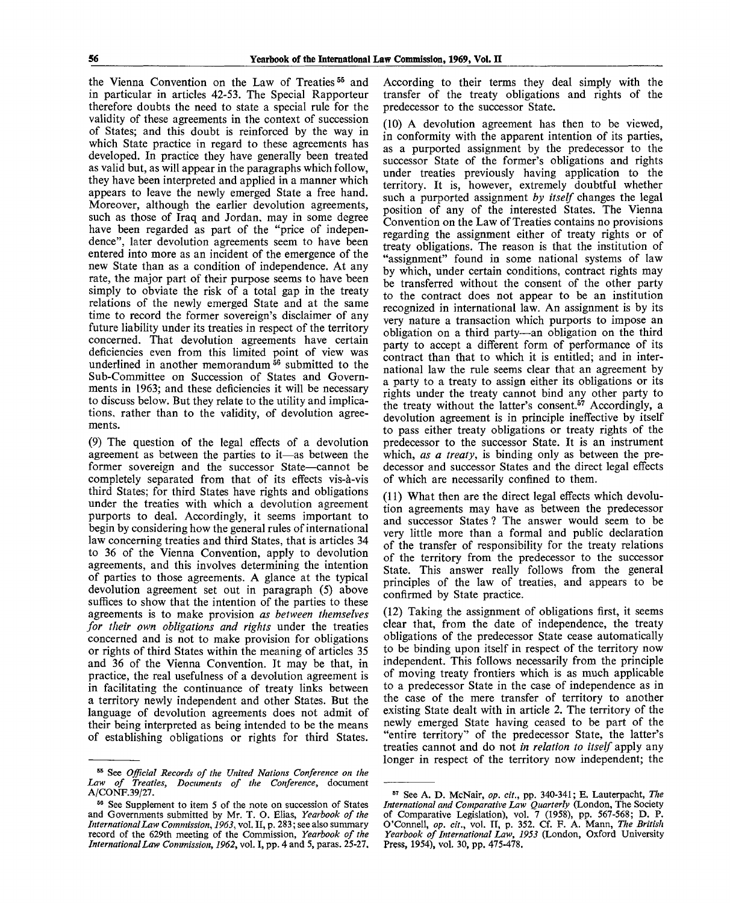the Vienna Convention on the Law of Treaties<sup>55</sup> and in particular in articles 42-53. The Special Rapporteur therefore doubts the need to state a special rule for the validity of these agreements in the context of succession of States; and this doubt is reinforced by the way in which State practice in regard to these agreements has developed. In practice they have generally been treated as valid but, as will appear in the paragraphs which follow, they have been interpreted and applied in a manner which appears to leave the newly emerged State a free hand. Moreover, although the earlier devolution agreements, such as those of Iraq and Jordan, may in some degree have been regarded as part of the "price of independence", later devolution agreements seem to have been entered into more as an incident of the emergence of the new State than as a condition of independence. At any rate, the major part of their purpose seems to have been simply to obviate the risk of a total gap in the treaty relations of the newly emerged State and at the same time to record the former sovereign's disclaimer of any future liability under its treaties in respect of the territory concerned. That devolution agreements have certain deficiencies even from this limited point of view was underlined in another memorandum  $^{56}$  submitted to the Sub-Committee on Succession of States and Governments in 1963; and these deficiencies it will be necessary to discuss below. But they relate to the utility and implications, rather than to the validity, of devolution agreements.

(9) The question of the legal effects of a devolution agreement as between the parties to it—as between the former sovereign and the successor State—cannot be completely separated from that of its effects vis-a-vis third States; for third States have rights and obligations under the treaties with which a devolution agreement purports to deal. Accordingly, it seems important to begin by considering how the general rules of international law concerning treaties and third States, that is articles 34 to 36 of the Vienna Convention, apply to devolution agreements, and this involves determining the intention of parties to those agreements. A glance at the typical devolution agreement set out in paragraph (5) above suffices to show that the intention of the parties to these agreements is to make provision *as between themselves for their own obligations and rights* under the treaties concerned and is not to make provision for obligations or rights of third States within the meaning of articles 35 and 36 of the Vienna Convention. Tt may be that, in practice, the real usefulness of a devolution agreement is in facilitating the continuance of treaty links between a territory newly independent and other States. But the language of devolution agreements does not admit of their being interpreted as being intended to be the means of establishing obligations or rights for third States.

According to their terms they deal simply with the transfer of the treaty obligations and rights of the predecessor to the successor State.

(10) A devolution agreement has then to be viewed, in conformity with the apparent intention of its parties, as a purported assignment by the predecessor to the successor State of the former's obligations and rights under treaties previously having application to the territory. It is, however, extremely doubtful whether such a purported assignment *by itself* changes the legal position of any of the interested States. The Vienna Convention on the Law of Treaties contains no provisions regarding the assignment either of treaty rights or of treaty obligations. The reason is that the institution of "assignment" found in some national systems of law by which, under certain conditions, contract rights may be transferred without the consent of the other party to the contract does not appear to be an institution recognized in international law. An assignment is by its very nature a transaction which purports to impose an obligation on a third party—an obligation on the third party to accept a different form of performance of its contract than that to which it is entitled; and in international law the rule seems clear that an agreement by a party to a treaty to assign either its obligations or its rights under the treaty cannot bind any other party to the treaty without the latter's consent.<sup>57</sup> Accordingly, a devolution agreement is in principle ineffective by itself to pass either treaty obligations or treaty rights of the predecessor to the successor State. It is an instrument which, *as a treaty*, is binding only as between the predecessor and successor States and the direct legal effects of which are necessarily confined to them.

(11) What then are the direct legal effects which devolution agreements may have as between the predecessor and successor States ? The answer would seem to be very little more than a formal and public declaration of the transfer of responsibility for the treaty relations of the territory from the predecessor to the successor State. This answer really follows from the general principles of the law of treaties, and appears to be confirmed by State practice.

(12) Taking the assignment of obligations first, it seems clear that, from the date of independence, the treaty obligations of the predecessor State cease automatically to be binding upon itself in respect of the territory now independent. This follows necessarily from the principle of moving treaty frontiers which is as much applicable to a predecessor State in the case of independence as in the case of the mere transfer of territory to another existing State dealt with in article 2. The territory of the newly emerged State having ceased to be part of the "entire territory" of the predecessor State, the latter's treaties cannot and do not *in relation to itself* apply any longer in respect of the territory now independent; the

<sup>65</sup> See *Official Records of the United Nations Conference on the Law of Treaties, Documents of the Conference,* document A/CONF.39/27.

<sup>&</sup>lt;sup>56</sup> See Supplement to item 5 of the note on succession of States and Governments submitted by Mr. T. O. Elias, *Yearbook of the International Law Commission, 1963,* vol. II, p. 283; see also summary record of the 629th meeting of the Commission, *Yearbook of the International Law Commission, 1962,* vol. I, pp. 4 and 5, paras. 25-27.

<sup>57</sup> See A. D. McNair, *op. cit.,* pp. 340-341; E. Lauterpacht, *The International and Comparative Law Quarterly* (London, The Society of Comparative Legislation), vol. 7 (1958), pp. 567-568; D. P. O'Connell, op. cit., vol. II, p. 352. Cf. F. A. Mann, The British *Yearbook of International Law, 1953* (London, Oxford University Press, 1954), vol. 30, pp. 475-478.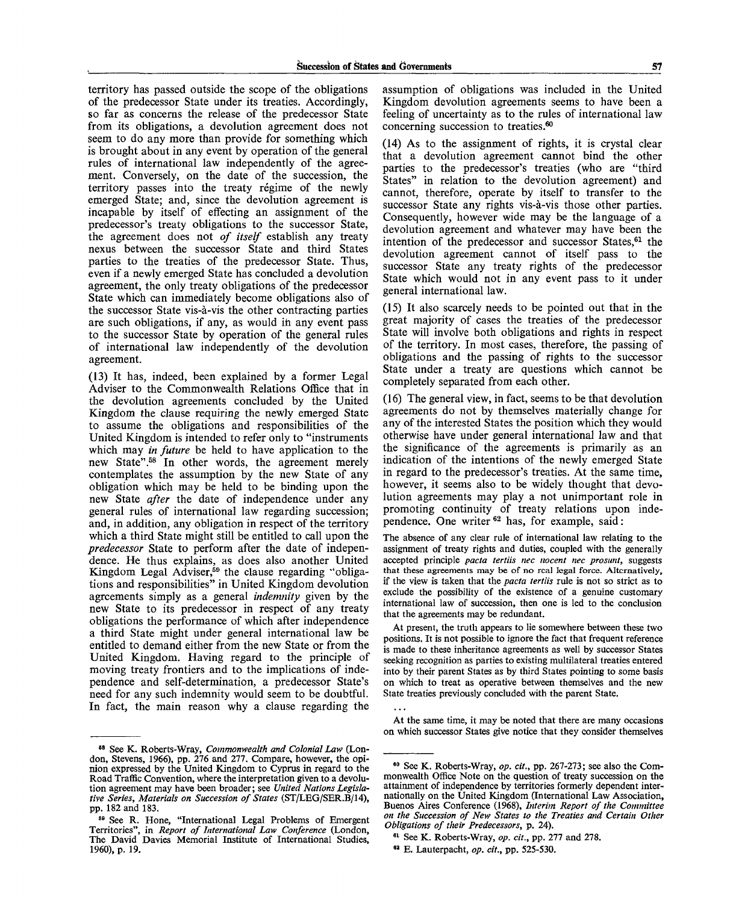territory has passed outside the scope of the obligations of the predecessor State under its treaties. Accordingly, so far as concerns the release of the predecessor State from its obligations, a devolution agreement does not seem to do any more than provide for something which is brought about in any event by operation of the general rules of international law independently of the agreement. Conversely, on the date of the succession, the territory passes into the treaty régime of the newly emerged State; and, since the devolution agreement is incapable by itself of effecting an assignment of the predecessor's treaty obligations to the successor State, the agreement does not *of itself* establish any treaty nexus between the successor State and third States parties to the treaties of the predecessor State. Thus, even if a newly emerged State has concluded a devolution agreement, the only treaty obligations of the predecessor State which can immediately become obligations also of the successor State vis-a-vis the other contracting parties are such obligations, if any, as would in any event pass to the successor State by operation of the general rules of international law independently of the devolution agreement.

(13) It has, indeed, been explained by a former Legal Adviser to the Commonwealth Relations Office that in the devolution agreements concluded by the United Kingdom the clause requiring the newly emerged State to assume the obligations and responsibilities of the United Kingdom is intended to refer only to "instruments which may *in future* be held to have application to the new State".<sup>58</sup> In other words, the agreement merely contemplates the assumption by the new State of any obligation which may be held to be binding upon the new State *after* the date of independence under any general rules of international law regarding succession; and, in addition, any obligation in respect of the territory which a third State might still be entitled to call upon the *predecessor* State to perform after the date of independence. He thus explains, as does also another United Kingdom Legal Adviser,<sup>59</sup> the clause regarding "obligations and responsibilities" in United Kingdom devolution agreements simply as a general *indemnity* given by the new State to its predecessor in respect of any treaty obligations the performance of which after independence a third State might under general international law be entitled to demand either from the new State or from the United Kingdom. Having regard to the principle of moving treaty frontiers and to the implications of independence and self-determination, a predecessor State's need for any such indemnity would seem to be doubtful. In fact, the main reason why a clause regarding the

88 See K. Roberts-Wray, *Commonwealth and Colonial Law* (London, Stevens, 1966), pp. 276 and 277. Compare, however, the opinion expressed by the United Kingdom to Cyprus in regard to the Road Traffic Convention, where the interpretation given to a devolution agreement may have been broader; see *United Nations Legislative Series, Materials on Succession of States* (ST/LEG/SER.B/14), pp. 182 and 183.

assumption of obligations was included in the United Kingdom devolution agreements seems to have been a feeling of uncertainty as to the rules of international law concerning succession to treaties.<sup>60</sup>

(14) As to the assignment of rights, it is crystal clear that a devolution agreement cannot bind the other parties to the predecessor's treaties (who are "third States" in relation to the devolution agreement) and cannot, therefore, operate by itself to transfer to the successor State any rights vis-à-vis those other parties. Consequently, however wide may be the language of a devolution agreement and whatever may have been the intention of the predecessor and successor States,<sup>61</sup> the devolution agreement cannot of itself pass to the successor State any treaty rights of the predecessor State which would not in any event pass to it under general international law.

(15) It also scarcely needs to be pointed out that in the great majority of cases the treaties of the predecessor State will involve both obligations and rights in respect of the territory. In most cases, therefore, the passing of obligations and the passing of rights to the successor State under a treaty are questions which cannot be completely separated from each other.

(16) The general view, in fact, seems to be that devolution agreements do not by themselves materially change for any of the interested States the position which they would otherwise have under general international law and that the significance of the agreements is primarily as an indication of the intentions of the newly emerged State in regard to the predecessor's treaties. At the same time, however, it seems also to be widely thought that devolution agreements may play a not unimportant role in promoting continuity of treaty relations upon independence. One writer <sup>62</sup> has, for example, said:

The absence of any clear rule of international law relating to the assignment of treaty rights and duties, coupled with the generally accepted principle *pacta tertiis nee nocent nee prosunt,* suggests that these agreements may be of no real legal force. Alternatively, if the view is taken that the *pacta tertiis* rule is not so strict as to exclude the possibility of the existence of a genuine customary international law of succession, then one is led to the conclusion that the agreements may be redundant.

At present, the truth appears to lie somewhere between these two positions. It is not possible to ignore the fact that frequent reference is made to these inheritance agreements as well by successor States seeking recognition as parties to existing multilateral treaties entered into by their parent States as by third States pointing to some basis on which to treat as operative between themselves and the new State treaties previously concluded with the parent State.

At the same time, it may be noted that there are many occasions on which successor States give notice that they consider themselves

<sup>69</sup> See R. Hone, "International Legal Problems of Emergent Territories", in *Report of International Law Conference* (London, The David Davies Memorial Institute of International Studies, 1960), p. 19.

<sup>«°</sup> See K. Roberts-Wray, *op. cit.,* pp. 267-273; see also the Commonwealth Office Note on the question of treaty succession on the attainment of independence by territories formerly dependent internationally on the United Kingdom (International Law Association, Buenos Aires Conference (1968), *Interim Report of the Committee on the Succession of New States to the Treaties and Certain Other Obligations of their Predecessors,* p. 24).

<sup>61</sup> See K. Roberts-Wray, *op. cit.,* pp. 277 and 278.

<sup>•&</sup>quot; E. Lauterpacht, *op. cit.,* pp. 525-530.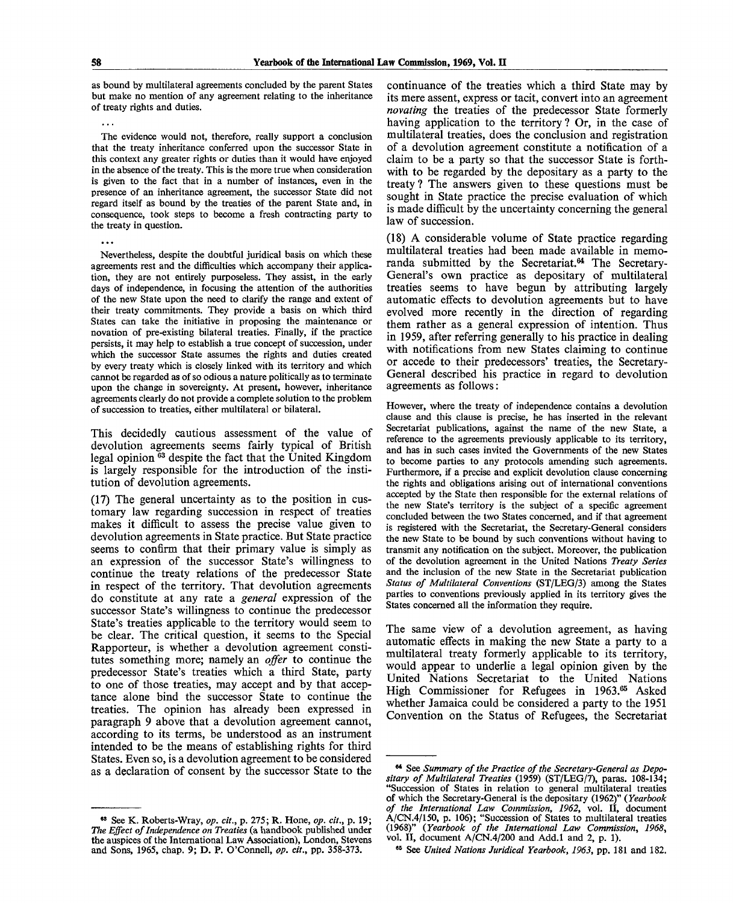58

as bound by multilateral agreements concluded by the parent States but make no mention of any agreement relating to the inheritance of treaty rights and duties.

The evidence would not, therefore, really support a conclusion that the treaty inheritance conferred upon the successor State in this context any greater rights or duties than it would have enjoyed in the absence of the treaty. This is the more true when consideration is given to the fact that in a number of instances, even in the presence of an inheritance agreement, the successor State did not regard itself as bound by the treaties of the parent State and, in consequence, took steps to become a fresh contracting party to the treaty in question.

**• • •**

Nevertheless, despite the doubtful juridical basis on which these agreements rest and the difficulties which accompany their application, they are not entirely purposeless. They assist, in the early days of independence, in focusing the attention of the authorities of the new State upon the need to clarify the range and extent of their treaty commitments. They provide a basis on which third States can take the initiative in proposing the maintenance or novation of pre-existing bilateral treaties. Finally, if the practice persists, it may help to establish a true concept of succession, under which the successor State assumes the rights and duties created by every treaty which is closely linked with its territory and which cannot be regarded as of so odious a nature politically as to terminate upon the change in sovereignty. At present, however, inheritance agreements clearly do not provide a complete solution to the problem of succession to treaties, either multilateral or bilateral.

This decidedly cautious assessment of the value of devolution agreements seems fairly typical of British legal opinion <sup>63</sup> despite the fact that the United Kingdom is largely responsible for the introduction of the institution of devolution agreements.

(17) The general uncertainty as to the position in customary law regarding succession in respect of treaties makes it difficult to assess the precise value given to devolution agreements in State practice. But State practice seems to confirm that their primary value is simply as an expression of the successor State's willingness to continue the treaty relations of the predecessor State in respect of the territory. That devolution agreements do constitute at any rate a *general* expression of the successor State's willingness to continue the predecessor State's treaties applicable to the territory would seem to be clear. The critical question, it seems to the Special Rapporteur, is whether a devolution agreement constitutes something more; namely an *offer* to continue the predecessor State's treaties which a third State, party to one of those treaties, may accept and by that acceptance alone bind the successor State to continue the treaties. The opinion has already been expressed in paragraph 9 above that a devolution agreement cannot, according to its terms, be understood as an instrument intended to be the means of establishing rights for third States. Even so, is a devolution agreement to be considered as a declaration of consent by the successor State to the

continuance of the treaties which a third State may by its mere assent, express or tacit, convert into an agreement *novating* the treaties of the predecessor State formerly having application to the territory ? Or, in the case of multilateral treaties, does the conclusion and registration of a devolution agreement constitute a notification of a claim to be a party so that the successor State is forthwith to be regarded by the depositary as a party to the treaty ? The answers given to these questions must be sought in State practice the precise evaluation of which is made difficult by the uncertainty concerning the general law of succession.

(18) A considerable volume of State practice regarding multilateral treaties had been made available in memoranda submitted by the Secretariat.<sup>64</sup> The Secretary-General's own practice as depositary of multilateral treaties seems to have begun by attributing largely automatic effects to devolution agreements but to have evolved more recently in the direction of regarding them rather as a general expression of intention. Thus in 1959, after referring generally to his practice in dealing with notifications from new States claiming to continue or accede to their predecessors' treaties, the Secretary-General described his practice in regard to devolution agreements as follows:

However, where the treaty of independence contains a devolution clause and this clause is precise, he has inserted in the relevant Secretariat publications, against the name of the new State, a reference to the agreements previously applicable to its territory, and has in such cases invited the Governments of the new States to become parties to any protocols amending such agreements. Furthermore, if a precise and explicit devolution clause concerning the rights and obligations arising out of international conventions accepted by the State then responsible for the external relations of the new State's territory is the subject of a specific agreement concluded between the two States concerned, and if that agreement is registered with the Secretariat, the Secretary-General considers the new State to be bound by such conventions without having to transmit any notification on the subject. Moreover, the publication of the devolution agreement in the United Nations *Treaty Series* and the inclusion of the new State in the Secretariat publication *Status of Multilateral Conventions* (ST/LEG/3) among the States parties to conventions previously applied in its territory gives the States concerned all the information they require.

The same view of a devolution agreement, as having automatic effects in making the new State a party to a multilateral treaty formerly applicable to its territory, would appear to underlie a legal opinion given by the United Nations Secretariat to the United Nations High Commissioner for Refugees in 1963.<sup>65</sup> Asked whether Jamaica could be considered a party to the 1951 Convention on the Status of Refugees, the Secretariat

<sup>•»</sup> See K. Roberts-Wray, *op. cit.,* p. 275; R. Hone, *op. cit.,* p. 19; *The Effect of Independence on Treaties* (a handbook published under the auspices of the International Law Association), London, Stevens and Sons, 1965, chap. 9; D. P. O'Connell, *op. cit.,* pp. 358-373.

M See *Summary of the Practice of the Secretary-General as Depositary of Multilateral Treaties* (1959) (ST/LEG/7), paras. 108-134; "Succession of States in relation to general multilateral treaties of which the Secretary-General is the depositary (1962)" *{Yearbook of the International Law Commission, 1962,* vol. II, document A/CN.4/150, p. 106); "Succession of States to multilateral treaties (1968)" *{Yearbook of the International Law Commission, 1968,* vol. II, document A/CN.4/200 and Add.l and 2, p. 1).

<sup>66</sup> See *United Nations Juridical Yearbook, 1963,* pp. 181 and 182.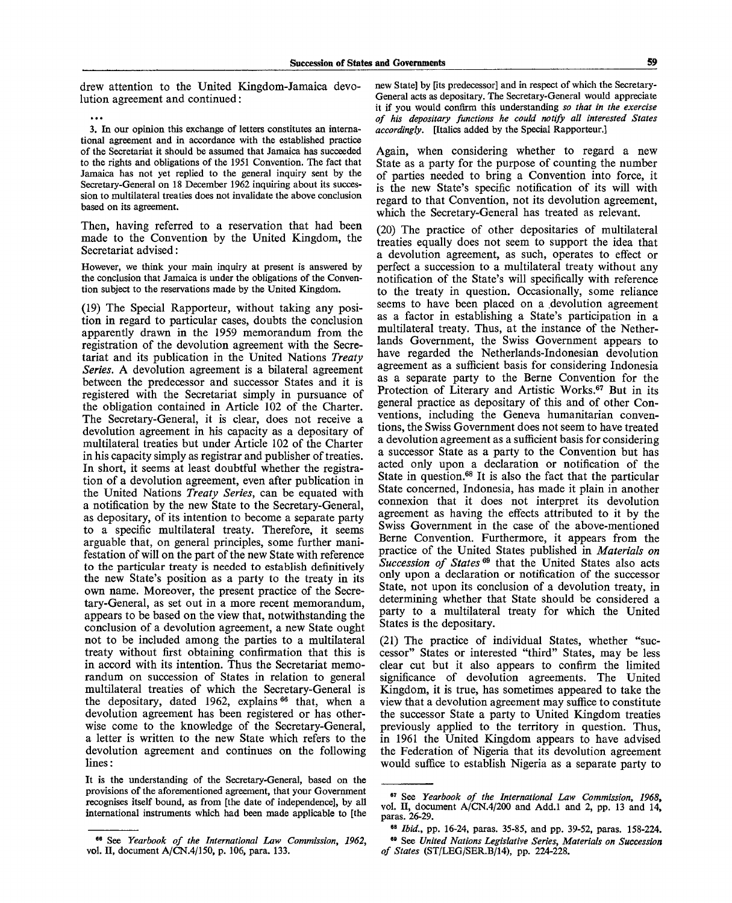drew attention to the United Kingdom-Jamaica devolution agreement and continued:

3. In our opinion this exchange of letters constitutes an international agreement and in accordance with the established practice of the Secretariat it should be assumed that Jamaica has succeeded to the rights and obligations of the 1951 Convention. The fact that Jamaica has not yet replied to the general inquiry sent by the Secretary-General on 18 December 1962 inquiring about its succession to multilateral treaties does not invalidate the above conclusion based on its agreement.

Then, having referred to a reservation that had been made to the Convention by the United Kingdom, the Secretariat advised:

However, we think your main inquiry at present is answered by the conclusion that Jamaica is under the obligations of the Convention subject to the reservations made by the United Kingdom.

(19) The Special Rapporteur, without taking any position in regard to particular cases, doubts the conclusion apparently drawn in the 1959 memorandum from the registration of the devolution agreement with the Secretariat and its publication in the United Nations *Treaty Series.* A devolution agreement is a bilateral agreement between the predecessor and successor States and it is registered with the Secretariat simply in pursuance of the obligation contained in Article 102 of the Charter. The Secretary-General, it is clear, does not receive a devolution agreement in his capacity as a depositary of multilateral treaties but under Article 102 of the Charter in his capacity simply as registrar and publisher of treaties. In short, it seems at least doubtful whether the registration of a devolution agreement, even after publication in the United Nations *Treaty Series,* can be equated with a notification by the new State to the Secretary-General, as depositary, of its intention to become a separate party to a specific multilateral treaty. Therefore, it seems arguable that, on general principles, some further manifestation of will on the part of the new State with reference to the particular treaty is needed to establish definitively the new State's position as a party to the treaty in its own name. Moreover, the present practice of the Secretary-General, as set out in a more recent memorandum, appears to be based on the view that, notwithstanding the conclusion of a devolution agreement, a new State ought not to be included among the parties to a multilateral treaty without first obtaining confirmation that this is in accord with its intention. Thus the Secretariat memorandum on succession of States in relation to general multilateral treaties of which the Secretary-General is the depositary, dated 1962, explains  $66$  that, when a devolution agreement has been registered or has otherwise come to the knowledge of the Secretary-General, a letter is written to the new State which refers to the devolution agreement and continues on the following lines:

It is the understanding of the Secretary-General, based on the provisions of the aforementioned agreement, that your Government recognises itself bound, as from [the date of independence], by all international instruments which had been made applicable to [the new State] by [its predecessor] and in respect of which the Secretary-General acts as depositary. The Secretary-General would appreciate it if you would confirm this understanding *so that in the exercise of his depositary functions he could notify all interested States accordingly.* [Italics added by the Special Rapporteur.]

Again, when considering whether to regard a new State as a party for the purpose of counting the number of parties needed to bring a Convention into force, it is the new State's specific notification of its will with regard to that Convention, not its devolution agreement, which the Secretary-General has treated as relevant.

(20) The practice of other depositaries of multilateral treaties equally does not seem to support the idea that a devolution agreement, as such, operates to effect or perfect a succession to a multilateral treaty without any notification of the State's will specifically with reference to the treaty in question. Occasionally, some reliance seems to have been placed on a devolution agreement as a factor in establishing a State's participation in a multilateral treaty. Thus, at the instance of the Netherlands Government, the Swiss Government appears to have regarded the Netherlands-Indonesian devolution agreement as a sufficient basis for considering Indonesia as a separate party to the Berne Convention for the Protection of Literary and Artistic Works.<sup>67</sup> But in its general practice as depositary of this and of other Conventions, including the Geneva humanitarian conventions, the Swiss Government does not seem to have treated a devolution agreement as a sufficient basis for considering a successor State as a party to the Convention but has acted only upon a declaration or notification of the State in question.<sup>68</sup> It is also the fact that the particular State concerned, Indonesia, has made it plain in another connexion that it does not interpret its devolution agreement as having the effects attributed to it by the Swiss Government in the case of the above-mentioned Berne Convention. Furthermore, it appears from the practice of the United States published in *Materials on Succession of States*<sup>69</sup> that the United States also acts only upon a declaration or notification of the successor State, not upon its conclusion of a devolution treaty, in determining whether that State should be considered a party to a multilateral treaty for which the United States is the depositary.

(21) The practice of individual States, whether "successor" States or interested "third" States, may be less clear cut but it also appears to confirm the limited significance of devolution agreements. The United Kingdom, it is true, has sometimes appeared to take the view that a devolution agreement may suffice to constitute the successor State a party to United Kingdom treaties previously applied to the territory in question. Thus, in 1961 the United Kingdom appears to have advised the Federation of Nigeria that its devolution agreement would suffice to establish Nigeria as a separate party to

<sup>&</sup>lt;sup>66</sup> See Yearbook of the International Law Commission, 1962, vol. II, document A/CN.4/150, p. 106, para. 133.

<sup>•&#</sup>x27; See *Yearbook of the International Law Commission, 1968,* vol. II, document A/CN.4/200 and Add.l and 2, pp. 13 and 14, paras. 26-29.

<sup>68</sup>  *Ibid.,* pp. 16-24, paras. 35-85, and pp. 39-52, paras. 158-224. <sup>69</sup> See United Nations Legislative Series, Materials on Succession *of States* (ST/LEG/SER.B/14), pp. 224-228.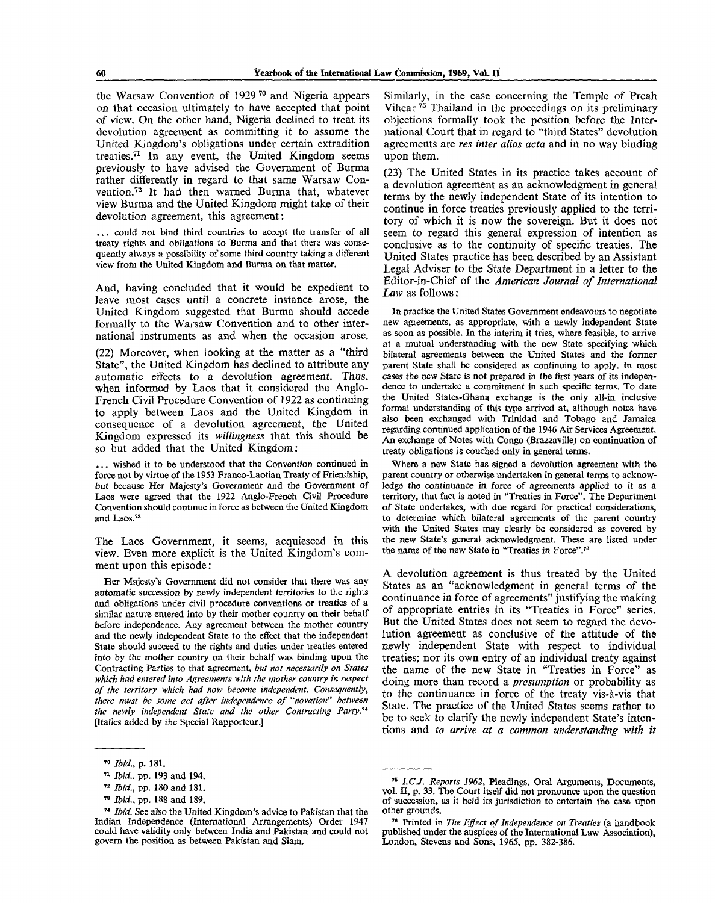the Warsaw Convention of 1929<sup>70</sup> and Nigeria appears on that occasion ultimately to have accepted that point of view. On the other hand, Nigeria declined to treat its devolution agreement as committing it to assume the United Kingdom's obligations under certain extradition treaties.<sup>71</sup> In any event, the United Kingdom seems previously to have advised the Government of Burma rather differently in regard to that same Warsaw Convention.<sup>72</sup> It had then warned Burma that, whatever view Burma and the United Kingdom might take of their devolution agreement, this agreement:

... could not bind third countries to accept the transfer of all treaty rights and obligations to Burma and that there was consequently always a possibility of some third country taking a different view from the United Kingdom and Burma on that matter.

And, having concluded that it would be expedient to leave most cases until a concrete instance arose, the United Kingdom suggested that Burma should accede formally to the Warsaw Convention and to other international instruments as and when the occasion arose.

(22) Moreover, when looking at the matter as a "third State", the United Kingdom has declined to attribute any automatic effects to a devolution agreement. Thus, when informed by Laos that it considered the Anglo-French Civil Procedure Convention of 1922 as continuing to apply between Laos and the United Kingdom in consequence of a devolution agreement, the United Kingdom expressed its *willingness* that this should be so but added that the United Kingdom:

... wished it to be understood that the Convention continued in force not by virtue of the 1953 Franco-Laotian Treaty of Friendship, but because Her Majesty's Government and the Government of Laos were agreed that the 1922 Anglo-French Civil Procedure Convention should continue in force as between the United Kingdom and Laos.<sup>73</sup>

The Laos Government, it seems, acquiesced in this view. Even more explicit is the United Kingdom's comment upon this episode:

Her Majesty's Government did not consider that there was any automatic succession by newly independent territories to the rights and obligations under civil procedure conventions or treaties of a similar nature entered into by their mother country on their behalf before independence. Any agreement between the mother country and the newly independent State to the effect that the independent State should succeed to the rights and duties under treaties entered into by the mother country on their behalf was binding upon the Contracting Parties to that agreement, *but not necessarily on States which had entered into Agreements with the mother country in respect of the territory which had now become independent. Consequently, there must be some act after independence of "novation" between the newly independent State and the other Contracting Party.'<sup>11</sup>* [Italics added by the Special Rapporteur.]

Similarly, in the case concerning the Temple of Preah Vihear<sup>75</sup> Thailand in the proceedings on its preliminary objections formally took the position before the International Court that in regard to "third States" devolution agreements are *res inter alios acta* and in no way binding upon them.

(23) The United States in its practice takes account of a devolution agreement as an acknowledgment in general terms by the newly independent State of its intention to continue in force treaties previously applied to the territory of which it is now the sovereign. But it does not seem to regard this general expression of intention as conclusive as to the continuity of specific treaties. The United States practice has been described by an Assistant Legal Adviser to the State Department in a letter to the Editor-in-Chief of the *American Journal of International Law* as follows:

In practice the United States Government endeavours to negotiate new agreements, as appropriate, with a newly independent State as soon as possible. In the interim it tries, where feasible, to arrive at a mutual understanding with the new State specifying which bilateral agreements between the United States and the former parent State shall be considered as continuing to apply. In most cases the new State is not prepared in the first years of its independence to undertake a commitment in such specific terms. To date the United States-Ghana exchange is the only all-in inclusive formal understanding of this type arrived at, although notes have also been exchanged with Trinidad and Tobago and Jamaica regarding continued application of the 1946 Air Services Agreement. An exchange of Notes with Congo (Brazzaville) on continuation of treaty obligations is couched only in general terms.

Where a new State has signed a devolution agreement with the parent country or otherwise undertaken in general terms to acknowledge the continuance in force of agreements applied to it as a territory, that fact is noted in "Treaties in Force". The Department of State undertakes, with due regard for practical considerations, to determine which bilateral agreements of the parent country with the United States may clearly be considered as covered by the new State's general acknowledgment. These are listed under the name of the new State in "Treaties in Force".<sup>78</sup>

A devolution agreement is thus treated by the United States as an "acknowledgment in general terms of the continuance in force of agreements" justifying the making of appropriate entries in its "Treaties in Force" series. But the United States does not seem to regard the devolution agreement as conclusive of the attitude of the newly independent State with respect to individual treaties; nor its own entry of an individual treaty against the name of the new State in "Treaties in Force" as doing more than record a *presumption* or probability as to the continuance in force of the treaty vis-a-vis that State. The practice of the United States seems rather to be to seek to clarify the newly independent State's intentions and *to arrive at a common understanding with it*

60

<sup>\*&</sup>gt; *Ibid.,* p. 181.

<sup>&#</sup>x27; l  *Ibid.,* pp. 193 and 194.

<sup>72</sup>  *Ibid.,* pp. 180 and 181.

<sup>73</sup>  *Ibid.,* pp. 188 and 189.

<sup>&</sup>lt;sup>74</sup> Ibid. See also the United Kingdom's advice to Pakistan that the Indian Independence (International Arrangements) Order 1947 could have validity only between India and Pakistan and could not govern the position as between Pakistan and Siam.

<sup>75</sup>  *I.CJ. Reports 1962,* Pleadings, Oral Arguments, Documents, vol. II, p. 33. The Court itself did not pronounce upon the question of succession, as *it* held its jurisdiction to entertain the case upon other grounds.

<sup>76</sup> Printed in *The Effect of Independence on Treaties* (a handbook published under the auspices of the International Law Association), London, Stevens and Sons, 1965, pp. 382-386.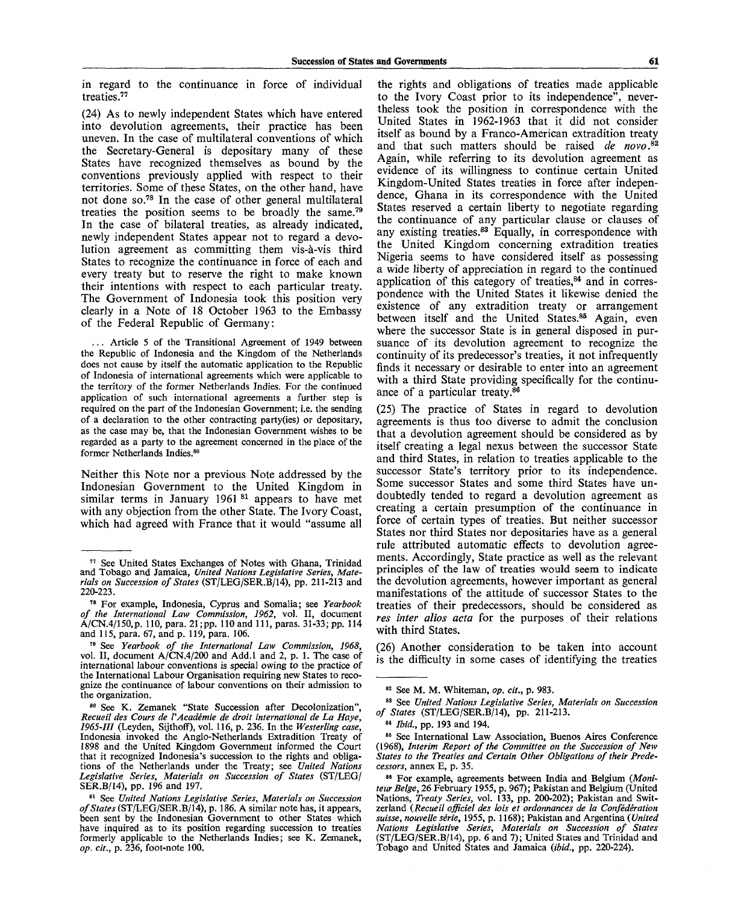in regard to the continuance in force of individual treaties.<sup>77</sup>

(24) As to newly independent States which have entered into devolution agreements, their practice has been uneven. In the case of multilateral conventions of which the Secretary-General is depositary many of these States have recognized themselves as bound by the conventions previously applied with respect to their territories. Some of these States, on the other hand, have not done so.<sup>78</sup> In the case of other general multilateral treaties the position seems to be broadly the same.<sup>79</sup> In the case of bilateral treaties, as already indicated, newly independent States appear not to regard a devolution agreement as committing them vis-a-vis third States to recognize the continuance in force of each and every treaty but to reserve the right to make known their intentions with respect to each particular treaty. The Government of Indonesia took this position very clearly in a Note of 18 October 1963 to the Embassy of the Federal Republic of Germany:

... Article 5 of the Transitional Agreement of 1949 between the Republic of Indonesia and the Kingdom of the Netherlands does not cause by itself the automatic application to the Republic of Indonesia of international agreements which were applicable to the territory of the former Netherlands Indies. For the continued application of such international agreements a further step is required on the part of the Indonesian Government; i.e. the sending of a declaration to the other contracting party(ies) or depositary, as the case may be, that the Indonesian Government wishes to be regarded as a party to the agreement concerned in the place of the former Netherlands Indies.<sup>80</sup>

Neither this Note nor a previous Note addressed by the Indonesian Government to the United Kingdom in similar terms in January 1961<sup>81</sup> appears to have met with any objection from the other State. The Ivory Coast, which had agreed with France that it would "assume all

the rights and obligations of treaties made applicable to the Ivory Coast prior to its independence", nevertheless took the position in correspondence with the United States in 1962-1963 that it did not consider itself as bound by a Franco-American extradition treaty and that such matters should be raised de novo.<sup>82</sup> Again, while referring to its devolution agreement as evidence of its willingness to continue certain United Kingdom-United States treaties in force after independence, Ghana in its correspondence with the United States reserved a certain liberty to negotiate regarding the continuance of any particular clause or clauses of any existing treaties.<sup>88</sup> Equally, in correspondence with the United Kingdom concerning extradition treaties Nigeria seems to have considered itself as possessing a wide liberty of appreciation in regard to the continued application of this category of treaties, $84$  and in correspondence with the United States it likewise denied the existence of any extradition treaty or arrangement between itself and the United States.<sup>85</sup> Again, even where the successor State is in general disposed in pursuance of its devolution agreement to recognize the continuity of its predecessor's treaties, it not infrequently finds it necessary or desirable to enter into an agreement with a third State providing specifically for the continuance of a particular treaty. $86$ 

(25) The practice of States in regard to devolution agreements is thus too diverse to admit the conclusion that a devolution agreement should be considered as by itself creating a legal nexus between the successor State and third States, in relation to treaties applicable to the successor State's territory prior to its independence. Some successor States and some third States have undoubtedly tended to regard a devolution agreement as creating a certain presumption of the continuance in force of certain types of treaties. But neither successor States nor third States nor depositaries have as a general rule attributed automatic effects to devolution agreements. Accordingly, State practice as well as the relevant principles of the law of treaties would seem to indicate the devolution agreements, however important as general manifestations of the attitude of successor States to the treaties of their predecessors, should be considered as *res inter alios acta* for the purposes of their relations with third States.

(26) Another consideration to be taken into account is the difficulty in some cases of identifying the treaties

83 See *United Nations Legislative Series, Materials on Succession of States* (ST/LEG/SER.B/14), pp. 211-213.

86 See International Law Association, Buenos Aires Conference (1968), *Interim Report of the Committee on the Succession of New States to the Treaties and Certain Other Obligations of their Predecessors,* annex E, p. 35.

<sup>&</sup>lt;sup>77</sup> See United States Exchanges of Notes with Ghana, Trinidad and Tobago and Jamaica, United Nations Legislative Series, Mate*rials on Succession of States* (ST/LEG/SER.B/14), pp. 211-213 and 220-223.

<sup>&</sup>lt;sup>78</sup> For example, Indonesia, Cyprus and Somalia; see Yearbook *of the Internationa! Law Commission, 1962,* vol. II, document A/CN.4/150,p. 110, para. 21;pp. 110 and 111, paras. 31-33; pp. 114 and 115, para. 67, and p. 119, para. 106.

<sup>79</sup> See *Yearbook of the International Law Commission, 1968,* vol. II, document A/CN.4/200 and Add.l and 2, p. 1. The case of international labour conventions is special owing *to* the practice of the International Labour Organisation requiring new States to recognize the continuance of labour conventions on their admission to the organization.

<sup>80</sup> See K. Zemanek "State Succession after Decolonization", *Recueil des Cours de I'Academie de droit international de La Haye, 1965-111* (Leyden, Sijthoff), vol. 116, p. 236. In the *Westerling case,* Indonesia invoked the Anglo-Netherlands Extradition Treaty of 1898 and the United Kingdom Government informed the Court that it recognized Indonesia's succession to the rights and obligations of the Netherlands under the Treaty; see *United Nations Legislative Series, Materials on Succession of States* (ST/LEG/ SER.B/14), pp. 196 and 197.

<sup>81</sup> See *United Nations Legislative Series, Materials on Succession of States* (ST/LEG/SER.B/14), p. 186. A similar note has, it appears, been sent by the Indonesian Government to other States which have inquired as to its position regarding succession to treaties formerly applicable to the Netherlands Indies; see K. Zemanek, *op. cit.,* p. 236, foot-note 100.

<sup>82</sup> See M. M. Whiteman, *op. cit.,* p. 983.

<sup>81</sup>  *Ibid.,* pp. 193 and 194.

<sup>88</sup> For example, agreements between India and Belgium *(Moniteur Beige,* 26 February 1955, p. 967); Pakistan and Belgium (United Nations, *Treaty Series,* vol. 133, pp. 200-202); Pakistan and Switzerland *(Recueil officiel des his et ordonnances de la Confederation suisse, nouvelle serie,* 1955, p. 1168); Pakistan and Argentina *(United Nations Legislative Series, Materials on Succession of States* (ST/LEG/SER.B/14), pp. 6 and 7); United States and Trinidad and Tobago and United States and Jamaica *(ibid.,* pp. 220-224).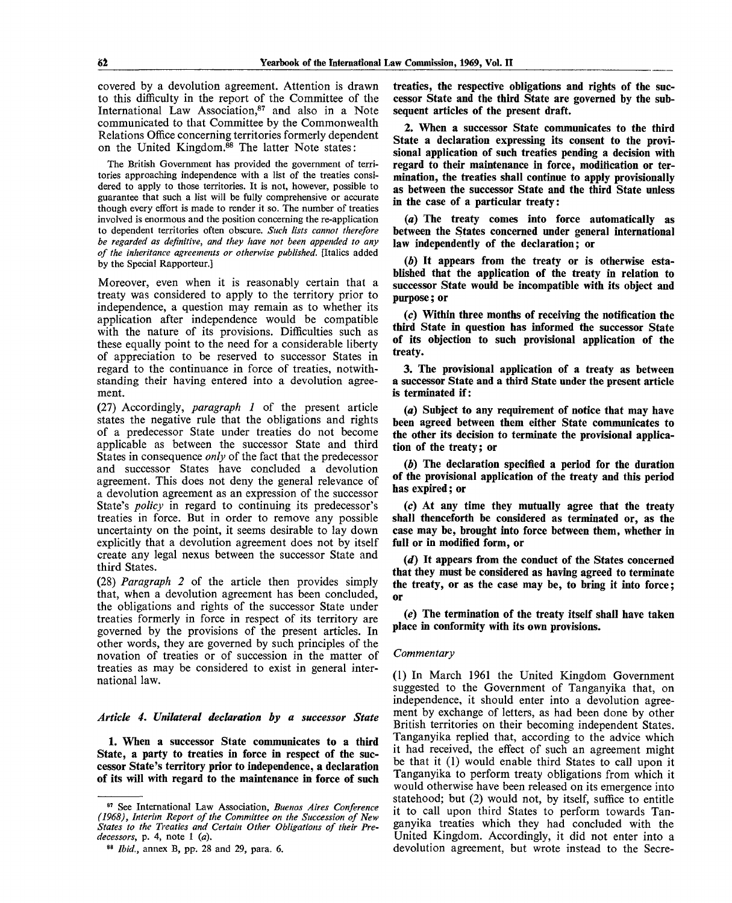covered by a devolution agreement. Attention is drawn to this difficulty in the report of the Committee of the International Law Association,<sup>87</sup> and also in a Note communicated to that Committee by the Commonwealth Relations Office concerning territories formerly dependent on the United Kingdom.<sup>88</sup> The latter Note states:

The British Government has provided the government of territories approaching independence with a list of the treaties considered to apply to those territories. It is not, however, possible to guarantee that such a list will be fully comprehensive or accurate though every effort is made to render it so. The number of treaties involved is enormous and the position concerning the re-application to dependent territories often obscure. *Such lists cannot therefore be regarded as definitive, and they have not been appended to any of the inheritance agreements or otherwise published.* [Italics added by the Special Rapporteur.]

Moreover, even when it is reasonably certain that a treaty was considered to apply to the territory prior to independence, a question may remain as to whether its application after independence would be compatible with the nature of its provisions. Difficulties such as these equally point to the need for a considerable liberty of appreciation to be reserved to successor States in regard to the continuance in force of treaties, notwithstanding their having entered into a devolution agreement.

(27) Accordingly, *paragraph 1* of the present article states the negative rule that the obligations and rights of a predecessor State under treaties do not become applicable as between the successor State and third States in consequence *only* of the fact that the predecessor and successor States have concluded a devolution agreement. This does not deny the general relevance of a devolution agreement as an expression of the successor State's *policy* in regard to continuing its predecessor's treaties in force. But in order to remove any possible uncertainty on the point, it seems desirable to lay down explicitly that a devolution agreement does not by itself create any legal nexus between the successor State and third States.

(28) *Paragraph 2* of the article then provides simply that, when a devolution agreement has been concluded, the obligations and rights of the successor State under treaties formerly in force in respect of its territory are governed by the provisions of the present articles. In other words, they are governed by such principles of the novation of treaties or of succession in the matter of treaties as may be considered to exist in general international law.

## *Article 4. Unilateral declaration by a successor State*

**1. When a successor State communicates to a third State, a party to treaties in force in respect of the successor State's territory prior to independence, a declaration of its will with regard to the maintenance in force of such** **treaties, the respective obligations and rights of the successor State and the third State are governed by the subsequent articles of the present draft.**

**2. When a successor State communicates to the third State a declaration expressing its consent to the provisional application of such treaties pending a decision with regard to their maintenance in force, modification or termination, the treaties shall continue to apply provisionally as between the successor State and the third State unless in the case of a particular treaty:**

**(a) The treaty comes into force automatically as between the States concerned under general international law independently of the declaration; or**

*(b)* **It appears from the treaty or is otherwise established that the application of the treaty in relation to successor State would be incompatible with its object and purpose; or**

**(c) Within three months of receiving the notification the third State in question has informed the successor State of its objection to such provisional application of the treaty.**

**3. The provisional application of a treaty as between a successor State and** a **third State under the present article is terminated if:**

**(a) Subject to any requirement of notice that may have been agreed between them either State communicates to the other its decision to terminate the provisional application of the treaty; or**

*(b)* **The declaration specified a period for the duration of the provisional application of the treaty and this period has expired; or**

**(c) At any time they mutually agree that the treaty shall thenceforth be considered as terminated or, as the case may be, brought into force between them, whether in full or in modified form, or**

*(d)* **It appears from the conduct of the States concerned that they must be considered as having agreed to terminate the treaty, or as the case may be, to bring it into force; or**

**(e) The termination of the treaty itself shall have taken place in conformity with its own provisions.**

#### *Commentary*

(1) In March 1961 the United Kingdom Government suggested to the Government of Tanganyika that, on independence, it should enter into a devolution agreement by exchange of letters, as had been done by other British territories on their becoming independent States. Tanganyika replied that, according to the advice which it had received, the effect of such an agreement might be that it (1) would enable third States to call upon it Tanganyika to perform treaty obligations from which it would otherwise have been released on its emergence into statehood; but (2) would not, by itself, suffice to entitle it to call upon third States to perform towards Tanganyika treaties which they had concluded with the United Kingdom. Accordingly, it did not enter into a devolution agreement, but wrote instead to the Secre-

<sup>87</sup> See International Law Association, *Buenos Aires Conference (1968), Interim Report of the Committee on the Succession of New States to the Treaties and Certain Other Obligations of their Predecessors,* p. 4, note 1 *(a).*

<sup>88</sup>  *Ibid.,* annex B, pp. 28 and 29, para. 6.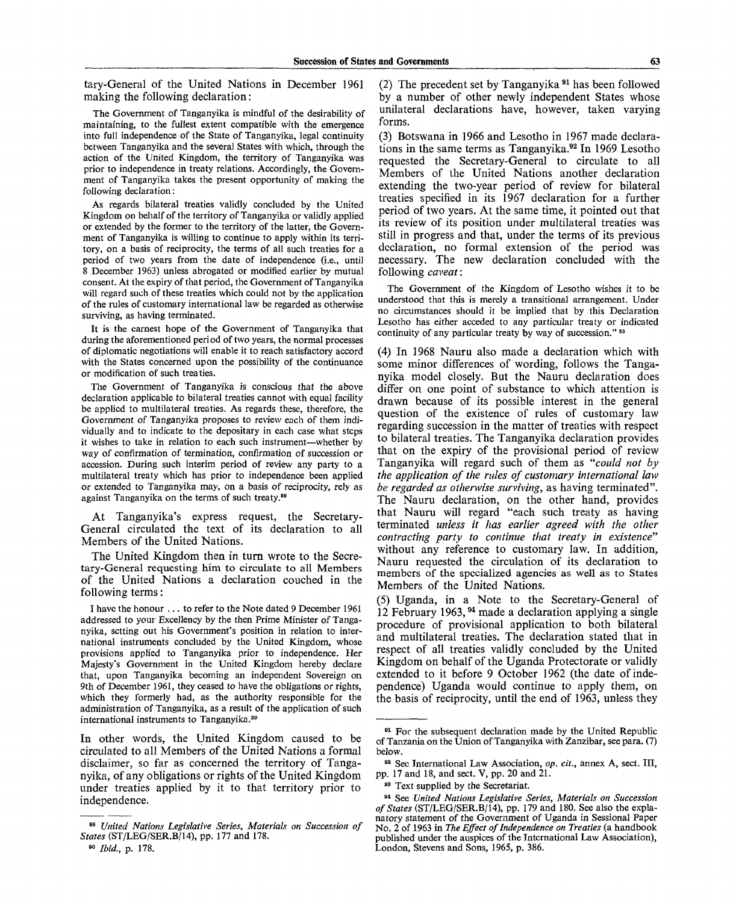tary-General of the United Nations in December 1961 making the following declaration:

The Government of Tanganyika is mindful of the desirability of maintaining, to the fullest extent compatible with the emergence into full independence of the State of Tanganyika, legal continuity between Tanganyika and the several States with which, through the action of the United Kingdom, the territory of Tanganyika was prior to independence in treaty relations. Accordingly, the Government of Tanganyika takes the present opportunity of making the following declaration:

As regards bilateral treaties validly concluded by the United Kingdom on behalf of the territory of Tanganyika or validly applied or extended by the former to the territory of the latter, the Government of Tanganyika is willing to continue to apply within its territory, on a basis of reciprocity, the terms of all such treaties for a period of two years from the date of independence (i.e., until 8 December 1963) unless abrogated or modified earlier by mutual consent. At the expiry of that period, the Government of Tanganyika will regard such of these treaties which could not by the application of the rules of customary international law be regarded as otherwise surviving, as having terminated.

It is the earnest hope of the Government of Tanganyika that during the aforementioned period of two years, the normal processes of diplomatic negotiations will enable it to reach satisfactory accord with the States concerned upon the possibility of the continuance or modification of such treaties.

The Government of Tanganyika is conscious that the above declaration applicable to bilateral treaties cannot with equal facility be applied to multilateral treaties. As regards these, therefore, the Government of Tanganyika proposes *to* review each of them individually and to indicate to the depositary in each case what steps it wishes to take in relation to each such instrument—whether by way of confirmation of termination, confirmation of succession or accession. During such interim period of review any party to a multilateral treaty which has prior to independence been applied or extended *to* Tanganyika may, on a basis of reciprocity, rely as against Tanganyika on the terms of such treaty.<sup>89</sup>

At Tanganyika's express request, the Secretary-General circulated the text of its declaration to all Members of the United Nations.

The United Kingdom then in turn wrote to the Secretary-General requesting him to circulate to all Members of the United Nations a declaration couched in the following terms:

I have the honour .. . to refer to the Note dated 9 December 1961 addressed to your Excellency by the then Prime Minister of Tanganyika, setting out his Government's position in relation to international instruments concluded by the United Kingdom, whose provisions applied to Tanganyika prior to independence. Her Majesty's Government in the United Kingdom hereby declare that, upon Tanganyika becoming an independent Sovereign on 9th of December 1961, they ceased to have the obligations or rights, which they formerly had, as the authority responsible for the administration of Tanganyika, as a result of the application of such international instruments to Tanganyika.<sup>90</sup>

In other words, the United Kingdom caused to be circulated to all Members of the United Nations a formal disclaimer, so far as concerned the territory of Tanganyika, of any obligations or rights of the United Kingdom under treaties applied by it to that territory prior to independence.

(3) Botswana in 1966 and Lesotho in 1967 made declarations in the same terms as Tanganyika.<sup>92</sup> In 1969 Lesotho requested the Secretary-General to circulate to all Members of the United Nations another declaration extending the two-year period of review for bilateral treaties specified in its 1967 declaration for a further period of two years. At the same time, it pointed out that its review of its position under multilateral treaties was still in progress and that, under the terms of its previous declaration, no formal extension of the period was necessary. The new declaration concluded with the following *caveat*:

The Government of the Kingdom of Lesotho wishes it to be understood that this is merely a transitional arrangement. Under no circumstances should it be implied that by this Declaration Lesotho has either acceded to any particular treaty or indicated continuity of any particular treaty by way of succession." 93

(4) In 1968 Nauru also made a declaration which with some minor differences of wording, follows the Tanganyika model closely. But the Nauru declaration does differ on one point of substance to which attention is drawn because of its possible interest in the general question of the existence of rules of customary law regarding succession in the matter of treaties with respect to bilateral treaties. The Tanganyika declaration provides that on the expiry of the provisional period of review Tanganyika will regard such of them as *"could not by the application of the rules of customary international law be regarded as otherwise surviving,* as having terminated". The Nauru declaration, on the other hand, provides that Nauru will regard "each such treaty as having terminated *unless it has earlier agreed with the other contracting party to continue that treaty in existence"* without any reference to customary law. In addition, Nauru requested the circulation of its declaration to members of the specialized agencies as well as to States Members of the United Nations.

(5) Uganda, in a Note to the Secretary-General of 12 February 1963, <sup>94</sup> made a declaration applying a single procedure of provisional application to both bilateral and multilateral treaties. The declaration stated that in respect of all treaties validly concluded by the United Kingdom on behalf of the Uganda Protectorate or validly extended to it before 9 October 1962 (the date of independence) Uganda would continue to apply them, on the basis of reciprocity, until the end of 1963, unless they

<sup>89</sup>  *United Nations Legislative Series, Materials on Succession of States* (ST/LEG/SER.B/14), pp. 177 and 178. 90  *Ibid.,* p. 178.

<sup>(2)</sup> The precedent set by Tanganyika<sup>91</sup> has been followed by a number of other newly independent States whose unilateral declarations have, however, taken varying forms.

<sup>&</sup>lt;sup>91</sup> For the subsequent declaration made by the United Republic of Tanzania on the Union of Tanganyika with Zanzibar, see para. (7) below.

<sup>92</sup> See International Law Association, *op. cit.,* annex A, sect. Ill, pp. 17 and 18, and sect. V, pp. 20 and 21.

<sup>&</sup>lt;sup>93</sup> Text supplied by the Secretariat.

<sup>94</sup> See *United Nations Legislative Series, Materials on Succession of States* (ST/LEG/SER.B/14), pp. 179 and 180. See also the explanatory statement of the Government of Uganda in Sessional Paper No. 2 of 1963 in *The Effect of Independence on Treaties* (a handbook published under the auspices of the International Law Association), London, Stevens and Sons, 1965, p. 386.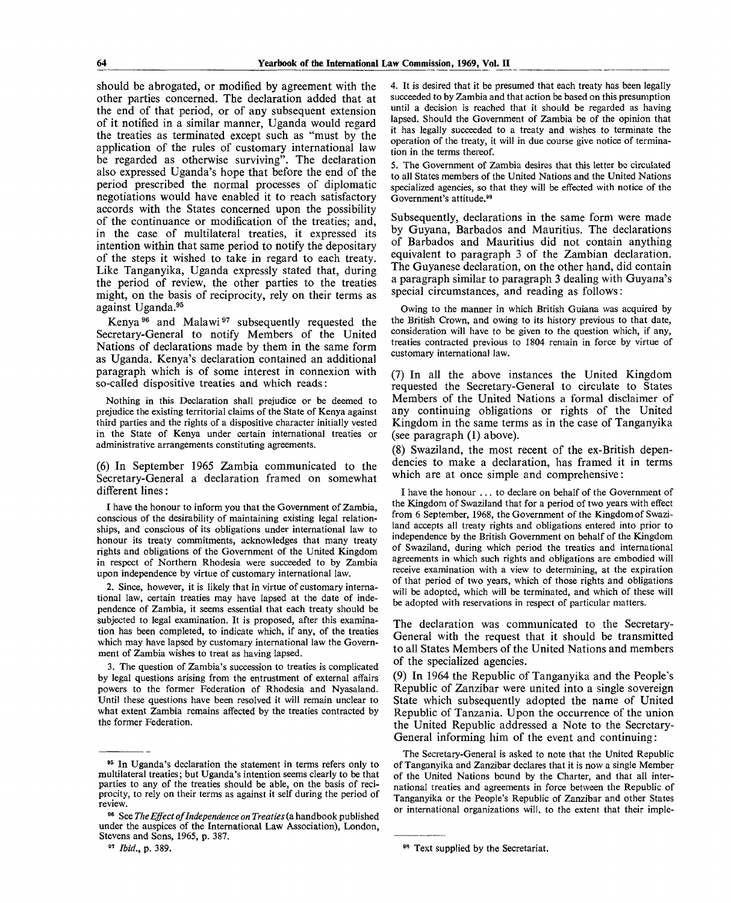should be abrogated, or modified by agreement with the other parties concerned. The declaration added that at the end of that period, or of any subsequent extension of it notified in a similar manner, Uganda would regard the treaties as terminated except such as "must by the application of the rules of customary international law be regarded as otherwise surviving". The declaration also expressed Uganda's hope that before the end of the period prescribed the normal processes of diplomatic negotiations would have enabled it to reach satisfactory accords with the States concerned upon the possibility of the continuance or modification of the treaties; and, in the case of multilateral treaties, it expressed its intention within that same period to notify the depositary of the steps it wished to take in regard to each treaty. Like Tanganyika, Uganda expressly stated that, during the period of review, the other parties to the treaties might, on the basis of reciprocity, rely on their terms as against Uganda.<sup>95</sup>

Kenya<sup>96</sup> and Malawi<sup>97</sup> subsequently requested the Secretary-General to notify Members of the United Nations of declarations made by them in the same form as Uganda. Kenya's declaration contained an additional paragraph which is of some interest in connexion with so-called dispositive treaties and which reads:

Nothing in this Declaration shall prejudice or be deemed to prejudice the existing territorial claims of the State of Kenya against third parties and the rights of a dispositive character initially vested in the State of Kenya under certain international treaties or administrative arrangements constituting agreements.

(6) In September 1965 Zambia communicated to the Secretary-General a declaration framed on somewhat different lines:

I have the honour to inform you that the Government of Zambia, conscious of the desirability of maintaining existing legal relationships, and conscious of its obligations under international law to honour its treaty commitments, acknowledges that many treaty rights and obligations of the Government of the United Kingdom in respect of Northern Rhodesia were succeeded to by Zambia upon independence by virtue of customary international law.

2. Since, however, it is likely that in virtue of customary international law, certain treaties may have lapsed at the date of independence of Zambia, it seems essential that each treaty should be subjected to legal examination. It is proposed, after this examination has been completed, to indicate which, if any, of the treaties which may have lapsed by customary international law the Government of Zambia wishes to treat as having lapsed.

3. The question of Zambia's succession to treaties is complicated by legal questions arising from the entrustment of external affairs powers to the former Federation of Rhodesia and Nyasaland. Until these questions have been resolved it will remain unclear to what extent Zambia remains affected by the treaties contracted by the former Federation.

4. It is desired that it be presumed that each treaty has been legally succeeded to by Zambia and that action be based on this presumption until a decision is reached that it should be regarded as having lapsed. Should the Government of Zambia be of the opinion that it has legally succeeded to a treaty and wishes to terminate the operation of the treaty, it will in due course give notice of termination in the terms thereof.

5. The Government of Zambia desires that this letter be circulated to all States members of the United Nations and the United Nations specialized agencies, so that they will be effected with notice of the Government's attitude.<sup>98</sup>

Subsequently, declarations in the same form were made by Guyana, Barbados and Mauritius. The declarations of Barbados and Mauritius did not contain anything equivalent to paragraph 3 of the Zambian declaration. The Guyanese declaration, on the other hand, did contain a paragraph similar to paragraph 3 dealing with Guyana's special circumstances, and reading as follows:

Owing to the manner in which British Guiana was acquired by the British Crown, and owing to its history previous to that date, consideration will have to be given to the question which, if any, treaties contracted previous to 1804 remain in force by virtue of customary international Jaw.

(7) In all the above instances the United Kingdom requested the Secretary-General to circulate to States Members of the United Nations a formal disclaimer of any continuing obligations or rights of the United Kingdom in the same terms as in the case of Tanganyika (see paragraph (1) above).

(8) Swaziland, the most recent of the ex-British dependencies to make a declaration, has framed it in terms which are at once simple and comprehensive:

I have the honour .. . to declare on behalf of the Government of the Kingdom of Swaziland that for a period of two years with effect from 6 September, 1968, the Government of the Kingdom of Swaziland accepts all treaty rights and obligations entered into prior to independence by the British Government on behalf of the Kingdom of Swaziland, during which period the treaties and international agreements in which such rights and obligations are embodied will receive examination with a view to determining, at the expiration of that period of two years, which of those rights and obligations will be adopted, which will be terminated, and which of these will be adopted with reservations in respect of particular matters.

The declaration was communicated to the Secretary-General with the request that it should be transmitted to all States Members of the United Nations and members of the specialized agencies.

(9) In 1964 the Republic of Tanganyika and the People's Republic of Zanzibar were united into a single sovereign State which subsequently adopted the name of United Republic of Tanzania. Upon the occurrence of the union the United Republic addressed a Note to the Secretary-General informing him of the event and continuing:

The Secretary-General is asked to note that the United Republic of Tanganyika and Zanzibar declares that it is now a single Member of the United Nations bound by the Charter, and that all international treaties and agreements in force between the Republic of Tanganyika or the People's Republic of Zanzibar and other States or international organizations will, to the extent that their imple-

<sup>&</sup>lt;sup>95</sup> In Uganda's declaration the statement in terms refers only to multilateral treaties; but Uganda's intention seems clearly to be that parties to any of the treaties should be able, on the basis of reciprocity, to rely on their terms as against it self during the period of review.

<sup>06</sup> See *The Effect of Independence on Treaties* (a handbook published under the auspices of the International Law Association), London, Stevens and Sons, 1965, p. 387.

<sup>&</sup>lt;sup>97</sup> *Ibid.*, p. 389.

<sup>&</sup>lt;sup>99</sup> Text supplied by the Secretariat.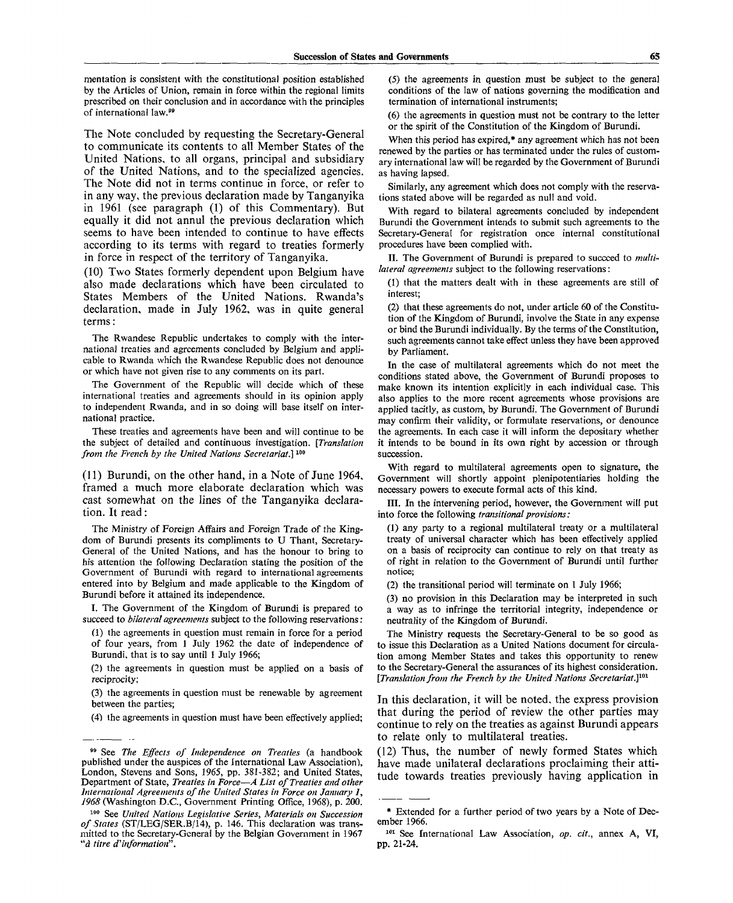mentation is consistent with the constitutional position established by the Articles of Union, remain in force within the regional limits prescribed on their conclusion and in accordance with the principles of international law.<sup>69</sup>

The Note concluded by requesting the Secretary-General to communicate its contents to all Member States of the United Nations, to all organs, principal and subsidiary of the United Nations, and to the specialized agencies. The Note did not in terms continue in force, or refer to in any way, the previous declaration made by Tanganyika in 1961 (see paragraph (1) of this Commentary). But equally it did not annul the previous declaration which seems to have been intended to continue to have effects according to its terms with regard to treaties formerly in force in respect of the territory of Tanganyika.

(10) Two States formerly dependent upon Belgium have also made declarations which have been circulated to States Members of the United Nations. Rwanda's declaration, made in July 1962, was in quite general terms:

The Rwandese Republic undertakes to comply with the international treaties and agreements concluded by Belgium and applicable to Rwanda which the Rwandese Republic does not denounce or which have not given rise to any comments on its part.

The Government of the Republic will decide which of these international treaties and agreements should in its opinion apply to independent Rwanda, and in so doing will base itself on international practice.

These treaties and agreements have been and will continue to be the subject of detailed and continuous investigation. *[Translation from the French by the United Nations Secretariat.]*<sup>10</sup>°

(11) Burundi, on the other hand, in a Note of June 1964, framed a much more elaborate declaration which was cast somewhat on the lines of the Tanganyika declaration. It read:

The Ministry of Foreign Affairs and Foreign Trade of the Kingdom of Burundi presents its compliments to U Thant, Secretary-General of the United Nations, and has the honour to bring to his attention the following Declaration stating the position of the Government of Burundi with regard to international agreements entered into by Belgium and made applicable to the Kingdom of Burundi before it attained its independence.

I. The Government of the Kingdom of Burundi is prepared to succeed to *bilateral agreements* subject to the following reservations:

(1) the agreements in question must remain in force for a period of four years, from 1 July 1962 the date of independence of Burundi, that is to say until 1 July 1966;

(2) the agreements in question must be applied on a basis of reciprocity;

(3) the agreements in question must be renewable by agreement between the parties;

(4) the agreements in question must have been effectively applied;

(5) the agreements in question must be subject to the general conditions of the law of nations governing the modification and termination of international instruments;

(6) the agreements in question must not be contrary to the letter or the spirit of the Constitution of the Kingdom of Burundi.

When this period has expired,<sup>\*</sup> any agreement which has not been renewed by the parties or has terminated under the rules of customary international law will be regarded by the Government of Burundi as having lapsed.

Similarly, any agreement which does not comply with the reservations stated above will be regarded as null and void.

With regard to bilateral agreements concluded by independent Burundi the Government intends to submit such agreements to the Secretary-General for registration once internal constitutional procedures have been complied with.

II. The Government of Burundi is prepared to succeed to *multilateral agreements* subject to the following reservations:

(1) that the matters dealt with in these agreements are still of interest;

(2) that these agreements do not, under article 60 of the Constitution of the Kingdom of Burundi, involve the State in any expense or bind the Burundi individually. By the terms of the Constitution, such agreements cannot take effect unless they have been approved by Parliament.

In the case of multilateral agreements which do not meet the conditions stated above, the Government of Burundi proposes to make known its intention explicitly in each individual case. This also applies to the more recent agreements whose provisions are applied tacitly, as custom, by Burundi. The Government of Burundi may confirm their validity, or formulate reservations, or denounce the agreements. In each case it will inform the depositary whether it intends to be bound in its own right by accession or through succession.

With regard to multilateral agreements open to signature, the Government will shortly appoint plenipotentiaries holding the necessary powers to execute formal acts of this kind.

**III.** In the intervening period, however, the Government will put into force the following *transitional provisions:*

(1) any party to a regional multilateral treaty or a multilateral treaty of universal character which has been effectively applied on a basis of reciprocity can continue to rely on that treaty as of right in relation to the Government of Burundi until further notice;

(2) the transitional period will terminate on 1 July 1966;

(3) no provision in this Declaration may be interpreted in such a way as to infringe the territorial integrity, independence or neutrality of the Kingdom of Burundi.

The Ministry requests the Secretary-General to be so good as to issue this Declaration as a United Nations document for circulation among Member States and takes this opportunity to renew to the Secretary-General the assurances of its highest consideration. *[Translation from the French by the United Nations Secretariat.]<sup>101</sup>*

Jn this declaration, it will be noted, the express provision that during the period of review the other parties may continue to rely on the treaties as against Burundi appears to relate only to multilateral treaties.

(12) Thus, the number of newly formed States which have made unilateral declarations proclaiming their attitude towards treaties previously having application in

<sup>99</sup> See *The Effects of Independence on Treaties* (a handbook published under the auspices of the International Law Association), London, Stevens and Sons, 1965, pp. 381-382; and United States, Department of State, *Treaties in Force*—*A List of Treaties and other International Agreements of the United States in Force on January I, 1968* (Washington D.C., Government Printing Office, 1968), p. 200.

<sup>100</sup> See *United Nations Legislative Series, Materials on Succession of States* (ST/LEG/SER.B/14), p. 146. This declaration was transmitted to the Secretary-General by the Belgian Government in 1967 *"a litre a"information".*

<sup>\*</sup> Extended for a further period of two years by a Note of December 1966.

<sup>101</sup> See International Law Association, *op. cit.,* annex A, VI, pp. 21-24.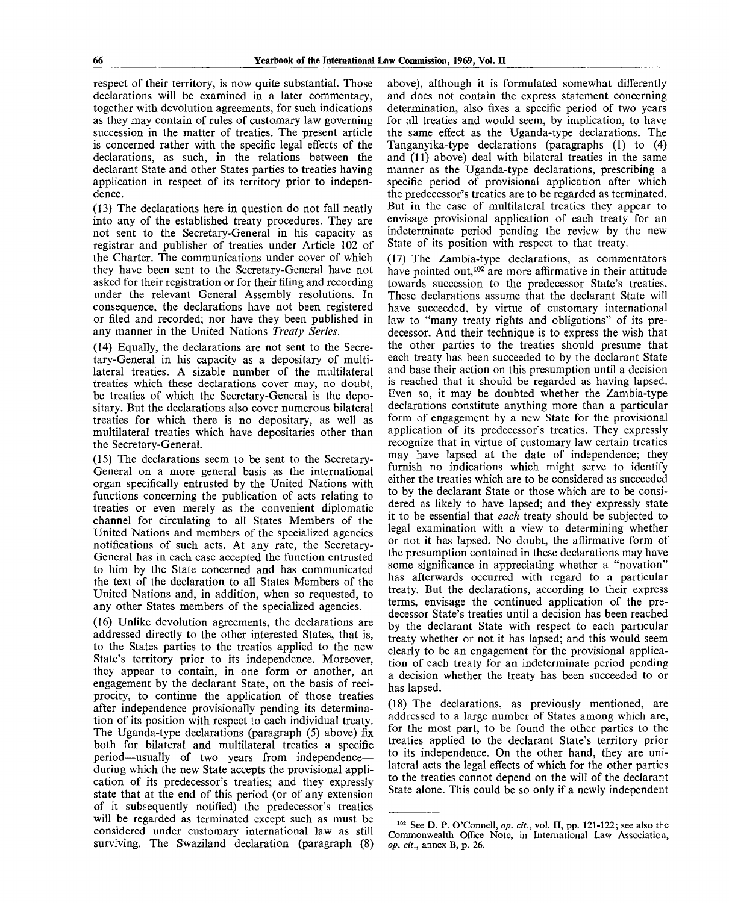respect of their territory, is now quite substantial. Those declarations will be examined in a later commentary, together with devolution agreements, for such indications as they may contain of rules of customary law governing succession in the matter of treaties. The present article is concerned rather with the specific legal effects of the declarations, as such, in the relations between the declarant State and other States parties to treaties having application in respect of its territory prior to independence.

(13) The declarations here in question do not fall neatly into any of the established treaty procedures. They are not sent to the Secretary-General in his capacity as registrar and publisher of treaties under Article 102 of the Charter. The communications under cover of which they have been sent to the Secretary-General have not asked for their registration or for their filing and recording under the relevant General Assembly resolutions. In consequence, the declarations have not been registered or filed and recorded; nor have they been published in any manner in the United Nations *Treaty Series.*

(14) Equally, the declarations are not sent to the Secretary-General in his capacity as a depositary of multilateral treaties. A sizable number of the multilateral treaties which these declarations cover may, no doubt, be treaties of which the Secretary-General is the depositary. But the declarations also cover numerous bilateral treaties for which there is no depositary, as well as multilateral treaties which have depositaries other than the Secretary-General.

(15) The declarations seem to be sent to the Secretary-General on a more general basis as the international organ specifically entrusted by the United Nations with functions concerning the publication of acts relating to treaties or even merely as the convenient diplomatic channel for circulating to all States Members of the United Nations and members of the specialized agencies notifications of such acts. At any rate, the Secretary-General has in each case accepted the function entrusted to him by the State concerned and has communicated the text of the declaration to all States Members of the United Nations and, in addition, when so requested, to any other States members of the specialized agencies.

(16) Unlike devolution agreements, the declarations are addressed directly to the other interested States, that is, to the States parties to the treaties applied to the new State's territory prior to its independence. Moreover, they appear to contain, in one form or another, an engagement by the declarant State, on the basis of reciprocity, to continue the application of those treaties after independence provisionally pending its determination of its position with respect to each individual treaty. The Uganda-type declarations (paragraph (5) above) fix both for bilateral and multilateral treaties a specific period—usually of two years from independence during which the new State accepts the provisional application of its predecessor's treaties; and they expressly state that at the end of this period (or of any extension of it subsequently notified) the predecessor's treaties will be regarded as terminated except such as must be considered under customary international law as still surviving. The Swaziland declaration (paragraph (8) above), although it is formulated somewhat differently and does not contain the express statement concerning determination, also fixes a specific period of two years for all treaties and would seem, by implication, to have the same effect as the Uganda-type declarations. The Tanganyika-type declarations (paragraphs (1) to (4) and (11) above) deal with bilateral treaties in the same manner as the Uganda-type declarations, prescribing a specific period of provisional application after which the predecessor's treaties are to be regarded as terminated. But in the case of multilateral treaties they appear to envisage provisional application of each treaty for an indeterminate period pending the review by the new State of its position with respect to that treaty.

(17) The Zambia-type declarations, as commentators have pointed out,<sup>102</sup> are more affirmative in their attitude towards succession to the predecessor State's treaties. These declarations assume that the declarant State will have succeeded, by virtue of customary international law to "many treaty rights and obligations" of its predecessor. And their technique is to express the wish that the other parties to the treaties should presume that each treaty has been succeeded to by the declarant State and base their action on this presumption until a decision is reached that it should be regarded as having lapsed. Even so, it may be doubted whether the Zambia-type declarations constitute anything more than a particular form of engagement by a new State for the provisional application of its predecessor's treaties. They expressly recognize that in virtue of customary law certain treaties may have lapsed at the date of independence; they furnish no indications which might serve to identify either the treaties which are to be considered as succeeded to by the declarant State or those which are to be considered as likely to have lapsed; and they expressly state it to be essential that *each* treaty should be subjected to legal examination with a view to determining whether or not it has lapsed. No doubt, the affirmative form of the presumption contained in these declarations may have some significance in appreciating whether a "novation" has afterwards occurred with regard to a particular treaty. But the declarations, according to their express terms, envisage the continued application of the predecessor State's treaties until a decision has been reached by the declarant State with respect to each particular treaty whether or not it has lapsed; and this would seem clearly to be an engagement for the provisional application of each treaty for an indeterminate period pending a decision whether the treaty has been succeeded to or has lapsed.

(18) The declarations, as previously mentioned, are addressed to a large number of States among which are, for the most part, to be found the other parties to the treaties applied to the declarant State's territory prior to its independence. On the other hand, they are unilateral acts the legal effects of which for the other parties to the treaties cannot depend on the will of the declarant State alone. This could be so only if a newly independent

<sup>102</sup> See D. P. O'Connell, *op. cit.,* vol. II, pp. 121-122; see also the Commonwealth Office Note, in International Law Association, *op. cit.,* annex B, p. 26.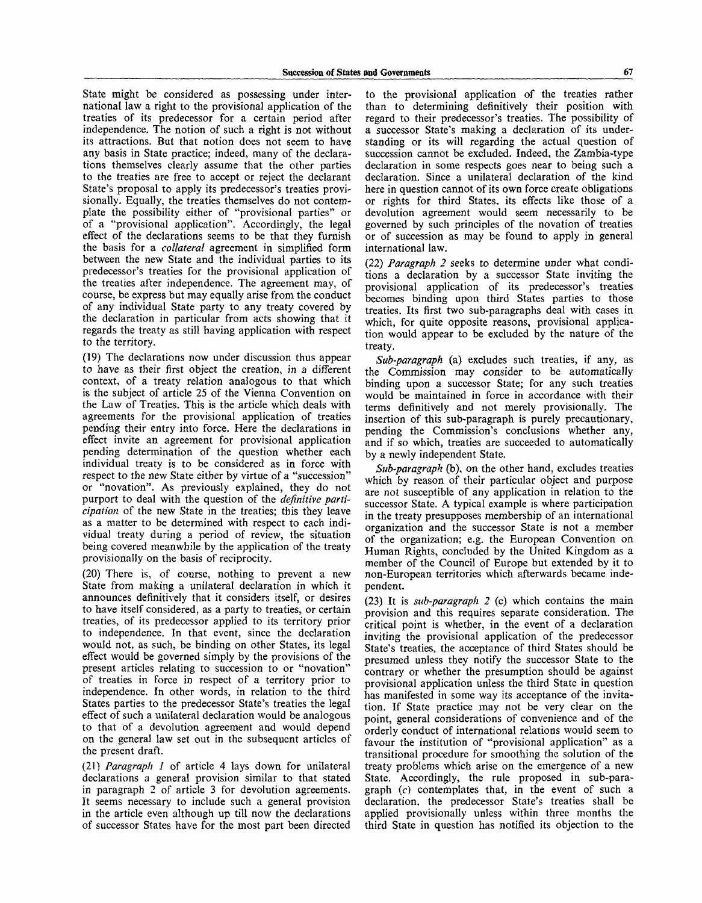State might be considered as possessing under international law a right to the provisional application of the treaties of its predecessor for a certain period after independence. The notion of such a right is not without its attractions. But that notion does not seem to have any basis in State practice; indeed, many of the declarations themselves clearly assume that the other parties to the treaties are free to accept or reject the declarant State's proposal to apply its predecessor's treaties provisionally. Equally, the treaties themselves do not contemplate the possibility either of "provisional parties" or of a "provisional application". Accordingly, the legal effect of the declarations seems to be that they furnish the basis for a *collateral* agreement in simplified form between the new State and the individual parties to its predecessor's treaties for the provisional application of the treaties after independence. The agreement may, of course, be express but may equally arise from the conduct of any individual State party to any treaty covered by the declaration in particular from acts showing that it regards the treaty as still having application with respect to the territory.

(19) The declarations now under discussion thus appear to have as their first object the creation, in a different context, of a treaty relation analogous to that which is the subject of article 25 of the Vienna Convention on the Law of Treaties. This is the article which deals with agreements for the provisional application of treaties pending their entry into force. Here the declarations in effect invite an agreement for provisional application pending determination of the question whether each individual treaty is *to* be considered as in force with respect to the new State either by virtue of a "succession" or "novation". As previously explained, they do not purport to deal with the question of the *definitive participation* of the new State in the treaties; this they leave as a matter to be determined with respect to each individual treaty during a period of review, the situation being covered meanwhile by the application of the treaty provisionally on the basis of reciprocity.

(20) There is, of course, nothing to prevent a new State from making a unilateral declaration in which it announces definitively that it considers itself, or desires to have itself considered, as a party to treaties, or certain treaties, of its predecessor applied to its territory prior to independence. In that event, since the declaration would not, as such, be binding on other States, its legal effect would be governed simply by the provisions of the present articles relating to succession to or "novation" of treaties in force in respect of a territory prior to independence. In other words, in relation to the third States parties to the predecessor State's treaties the legal effect of such a unilateral declaration would be analogous to that of a devolution agreement and would depend on the general law set out in the subsequent articles of the present draft.

(21) *Paragraph 1* of article 4 lays down for unilateral declarations a general provision similar to that stated in paragraph 2 of article 3 for devolution agreements. It seems necessary to include such a general provision in the article even although up till now the declarations of successor States have for the most part been directed to the provisional application of the treaties rather than to determining definitively their position with regard to their predecessor's treaties. The possibility of a successor State's making a declaration of its understanding or its will regarding the actual question of succession cannot be excluded. Indeed, the Zambia-type declaration in some respects goes near to being such a declaration. Since a unilateral declaration of the kind here in question cannot of its own force create obligations or rights for third States, its effects like those of a devolution agreement would seem necessarily to be governed by such principles of the novation of treaties or of succession as may be found to apply in general international law.

(22) *Paragraph 2* seeks to determine under what conditions a declaration by a successor State inviting the provisional application of its predecessor's treaties becomes binding upon third States parties to those treaties. Its first two sub-paragraphs deal with cases in which, for quite opposite reasons, provisional application would appear to be excluded by the nature of the treaty.

*Sub-paragraph* (a) excludes such treaties, if any, as the Commission may consider to be automatically binding upon a successor State; for any such treaties would be maintained in force in accordance with their terms definitively and not merely provisionally. The insertion of this sub-paragraph is purely precautionary, pending the Commission's conclusions whether any, and if so which, treaties are succeeded to automatically by a newly independent State.

*Sub-paragraph* (b), on the other hand, excludes treaties which by reason of their particular object and purpose are not susceptible of any application in relation to the successor State. A typical example is where participation in the treaty presupposes membership of an international organization and the successor State is not a member of the organization; e.g. the European Convention on Human Rights, concluded by the United Kingdom as a member of the Council of Europe but extended by it to non-European territories which afterwards became independent.

(23) It is *sub-paragraph 2* (c) which contains the main provision and this requires separate consideration. The critical point is whether, in the event of a declaration inviting the provisional application of the predecessor State's treaties, the acceptance of third States should be presumed unless they notify the successor State to the contrary or whether the presumption should be against provisional application unless the third State in question has manifested in some way its acceptance of the invitation. If State practice may not be very clear on the point, general considerations of convenience and of the orderly conduct of international relations would seem to favour the institution of "provisional application" as a transitional procedure for smoothing the solution of the treaty problems which arise on the emergence of a new State. Accordingly, the rule proposed in sub-paragraph *(c)* contemplates that, in the event of such a declaration, the predecessor State's treaties shall be applied provisionally unless within three months the third State in question has notified its objection to the